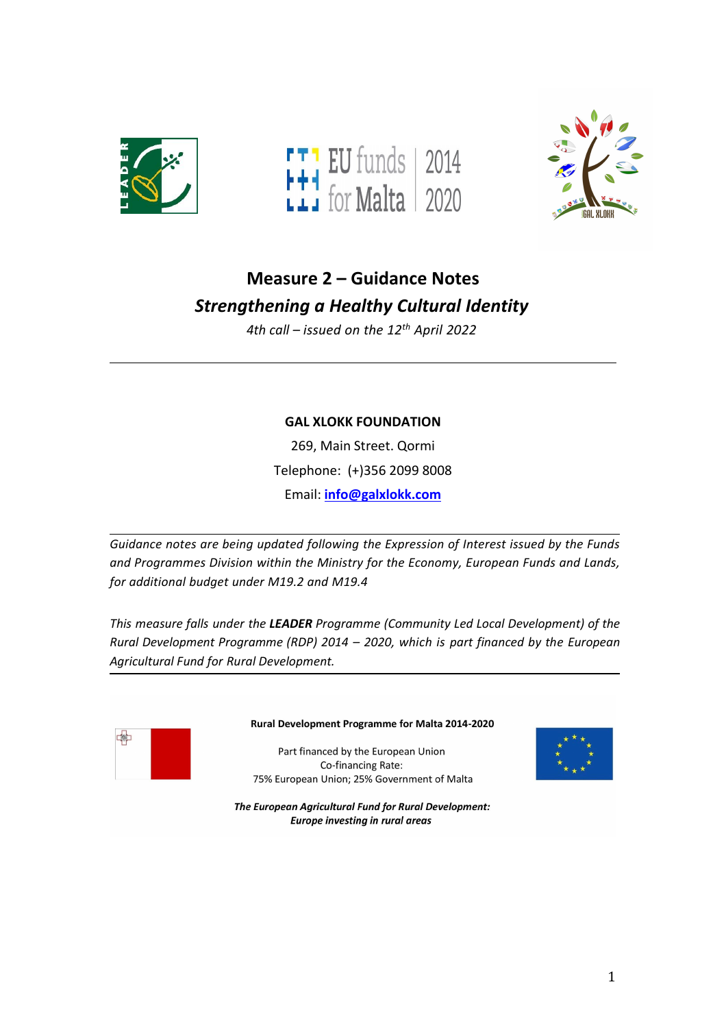





# **Measure 2 – Guidance Notes** *Strengthening a Healthy Cultural Identity*

*4th call – issued on the 12 th April 2022*

## **GAL XLOKK FOUNDATION**

269, Main Street. Qormi Telephone: (+)356 2099 8008 Email: **[info@galxlokk.com](mailto:info@galxlokk.com)**

*Guidance notes are being updated following the Expression of Interest issued bythe Funds and Programmes Division within the Ministry for the Economy, European Funds and Lands, for additional budget under M19.2 and M19.4*

*This measure falls under the LEADER Programme (Community Led Local Development) of the Rural Development Programme (RDP) 2014 – 2020, which is part financed by the European Agricultural Fund for Rural Development.*



#### Rural Development Programme for Malta 2014-2020

Part financed by the European Union Co-financing Rate: 75% European Union; 25% Government of Malta



The European Agricultural Fund for Rural Development: **Europe investing in rural areas**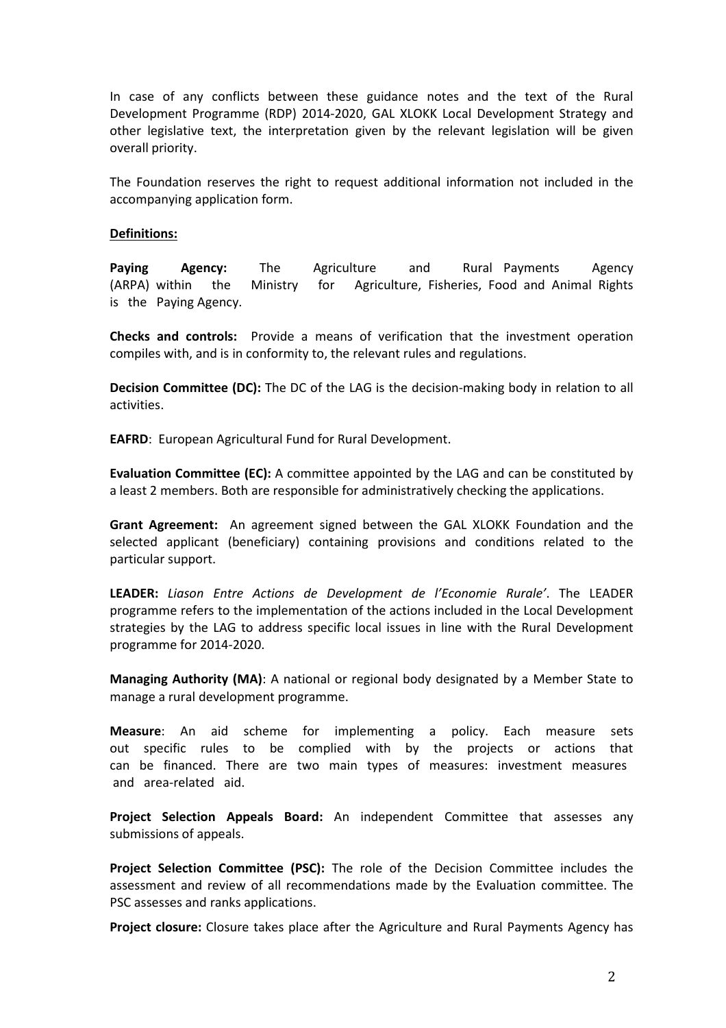In case of any conflicts between these guidance notes and the text of the Rural Development Programme (RDP) 2014-2020, GAL XLOKK Local Development Strategy and other legislative text, the interpretation given by the relevant legislation will be given overall priority.

The Foundation reserves the right to request additional information not included in the accompanying application form.

#### **Definitions:**

**Paying Agency:** The Agriculture and Rural Payments Agency (ARPA) within the Ministry for Agriculture, Fisheries, Food and Animal Rights is the Paying Agency.

**Checks and controls:** Provide a means of verification that the investment operation compiles with, and is in conformity to, the relevant rules and regulations.

**Decision Committee (DC):** The DC of the LAG is the decision-making body in relation to all activities.

**EAFRD**: European Agricultural Fund for Rural Development.

**Evaluation Committee (EC):** A committee appointed by the LAG and can be constituted by a least 2 members. Both are responsible for administratively checking the applications.

**Grant Agreement:** An agreement signed between the GAL XLOKK Foundation and the selected applicant (beneficiary) containing provisions and conditions related to the particular support.

**LEADER:** *Liason Entre Actions de Development de l'Economie Rurale'*. The LEADER programme refers to the implementation of the actions included in the Local Development strategies by the LAG to address specific local issues in line with the Rural Development programme for 2014-2020.

**Managing Authority (MA)**: A national or regional body designated by a Member State to manage a rural development programme.

**Measure**: An aid scheme for implementing a policy. Each measure sets out specific rules to be complied with by the projects or actions that can be financed. There are two main types of measures: investment measures and area-related aid.

**Project Selection Appeals Board:** An independent Committee that assesses any submissions of appeals.

**Project Selection Committee (PSC):** The role of the Decision Committee includes the assessment and review of all recommendations made by the Evaluation committee. The PSC assesses and ranks applications.

**Project closure:** Closure takes place after the Agriculture and Rural Payments Agency has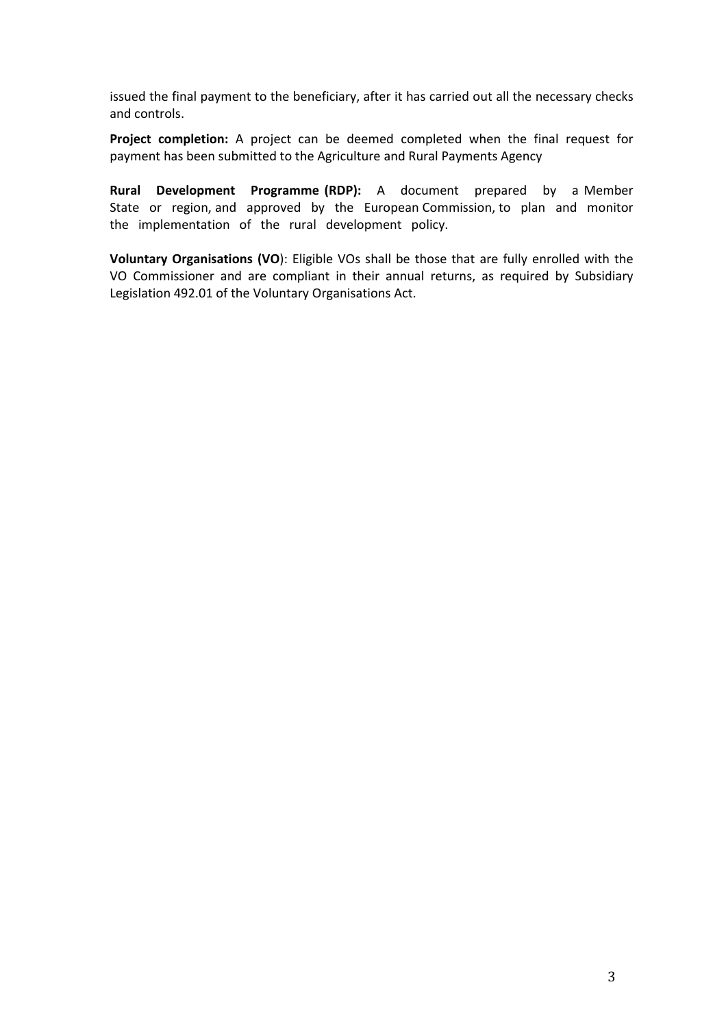issued the final payment to the beneficiary, after it has carried out all the necessary checks and controls.

**Project completion:** A project can be deemed completed when the final request for payment has been submitted to the Agriculture and Rural Payments Agency

**Rural Development Programme (RDP):** A document prepared by a Member State or region, and approved by the European Commission, to plan and monitor the implementation of the rural development policy.

**Voluntary Organisations (VO**): Eligible VOs shall be those that are fully enrolled with the VO Commissioner and are compliant in their annual returns, as required by Subsidiary Legislation 492.01 of the Voluntary Organisations Act.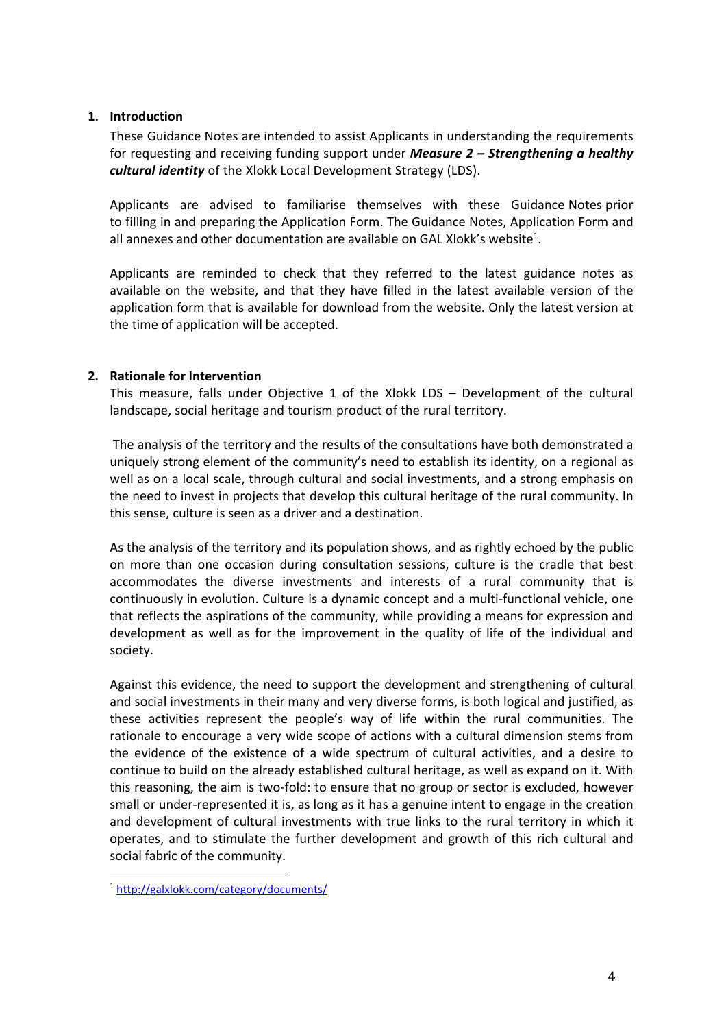#### **1. Introduction**

These Guidance Notes are intended to assist Applicants in understanding the requirements for requesting and receiving funding support under *Measure 2 – Strengthening a healthy cultural identity* of the Xlokk Local Development Strategy (LDS).

Applicants are advised to familiarise themselves with these Guidance Notes prior to filling in and preparing the Application Form. The Guidance Notes, Application Form and all annexes and other documentation are available on GAL Xlokk's website<sup>[1](#page-3-0)</sup>. .

Applicants are reminded to check that they referred to the latest guidance notes as available on the website, and that they have filled in the latest available version of the application form that is available for download from the website. Only the latest version at the time of application will be accepted.

#### **2. Rationale for Intervention**

This measure, falls under Objective 1 of the Xlokk LDS – Development of the cultural landscape, social heritage and tourism product of the rural territory.

The analysis of the territory and the results of the consultations have both demonstrated a uniquely strong element of the community's need to establish its identity, on a regional as well as on a local scale, through cultural and social investments, and a strong emphasis on the need to invest in projects that develop this cultural heritage of the rural community. In this sense, culture is seen as a driver and a destination.

As the analysis of the territory and its population shows, and as rightly echoed by the public on more than one occasion during consultation sessions, culture is the cradle that best accommodates the diverse investments and interests of a rural community that is continuously in evolution. Culture is a dynamic concept and a multi-functional vehicle, one that reflects the aspirations of the community, while providing a means for expression and development as well as for the improvement in the quality of life of the individual and society.

Against this evidence, the need to support the development and strengthening of cultural and social investments in their many and very diverse forms, is both logical and justified, as these activities represent the people's way of life within the rural communities. The rationale to encourage a very wide scope of actions with a cultural dimension stems from the evidence of the existence of a wide spectrum of cultural activities, and a desire to continue to build on the already established cultural heritage, as well as expand on it. With this reasoning, the aim is two-fold: to ensure that no group or sector is excluded, however small or under-represented it is, as long as it has a genuine intent to engage in the creation and development of cultural investments with true links to the rural territory in which it operates, and to stimulate the further development and growth of this rich cultural and social fabric of the community.

<span id="page-3-0"></span><sup>1</sup> <http://galxlokk.com/category/documents/>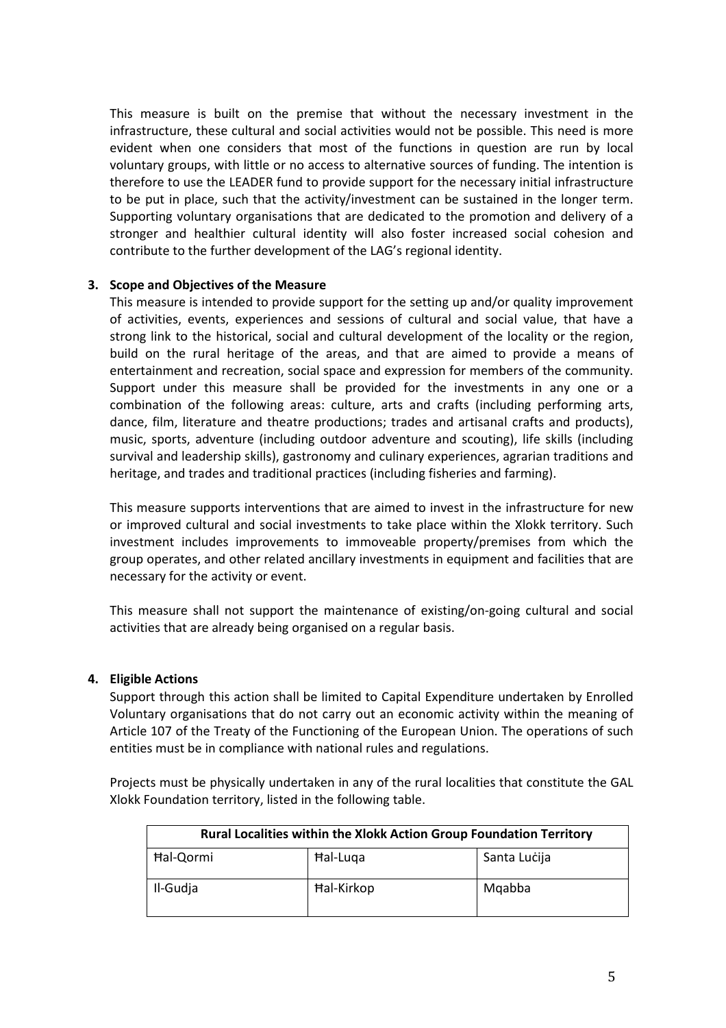This measure is built on the premise that without the necessary investment in the infrastructure, these cultural and social activities would not be possible. This need is more evident when one considers that most of the functions in question are run by local voluntary groups, with little or no access to alternative sources of funding. The intention is therefore to use the LEADER fund to provide support for the necessary initial infrastructure to be put in place, such that the activity/investment can be sustained in the longer term. Supporting voluntary organisations that are dedicated to the promotion and delivery of a stronger and healthier cultural identity will also foster increased social cohesion and contribute to the further development of the LAG's regional identity.

#### **3. Scope and Objectives of the Measure**

This measure is intended to provide support for the setting up and/or quality improvement of activities, events, experiences and sessions of cultural and social value, that have a strong link to the historical, social and cultural development of the locality or the region, build on the rural heritage of the areas, and that are aimed to provide a means of entertainment and recreation, social space and expression for members of the community. Support under this measure shall be provided for the investments in any one or a combination of the following areas: culture, arts and crafts (including performing arts, dance, film, literature and theatre productions; trades and artisanal crafts and products), music, sports, adventure (including outdoor adventure and scouting), life skills (including survival and leadership skills), gastronomy and culinary experiences, agrarian traditions and heritage, and trades and traditional practices (including fisheries and farming).

This measure supports interventions that are aimed to invest in the infrastructure for new or improved cultural and social investments to take place within the Xlokk territory. Such investment includes improvements to immoveable property/premises from which the group operates, and other related ancillary investments in equipment and facilities that are

necessary for the activity or event.<br>This measure shall not support the maintenance of existing/on-going cultural and social activities that are already being organised on a regular basis.

#### **4. Eligible Actions**

Support through this action shall be limited to Capital Expenditure undertaken by Enrolled Voluntary organisations that do not carry out an economic activity within the meaning of Article 107 of the Treaty of the Functioning of the European Union. The operations of such entities must be in compliance with national rules and regulations.

Projects must be physically undertaken in any of the rural localities that constitute the GAL Xlokk Foundation territory, listed in the following table.

| <b>Rural Localities within the Xlokk Action Group Foundation Territory</b> |                   |              |
|----------------------------------------------------------------------------|-------------------|--------------|
| Hal-Qormi                                                                  | Hal-Luga          | Santa Lucija |
| Il-Gudja                                                                   | <b>Hal-Kirkop</b> | Mgabba       |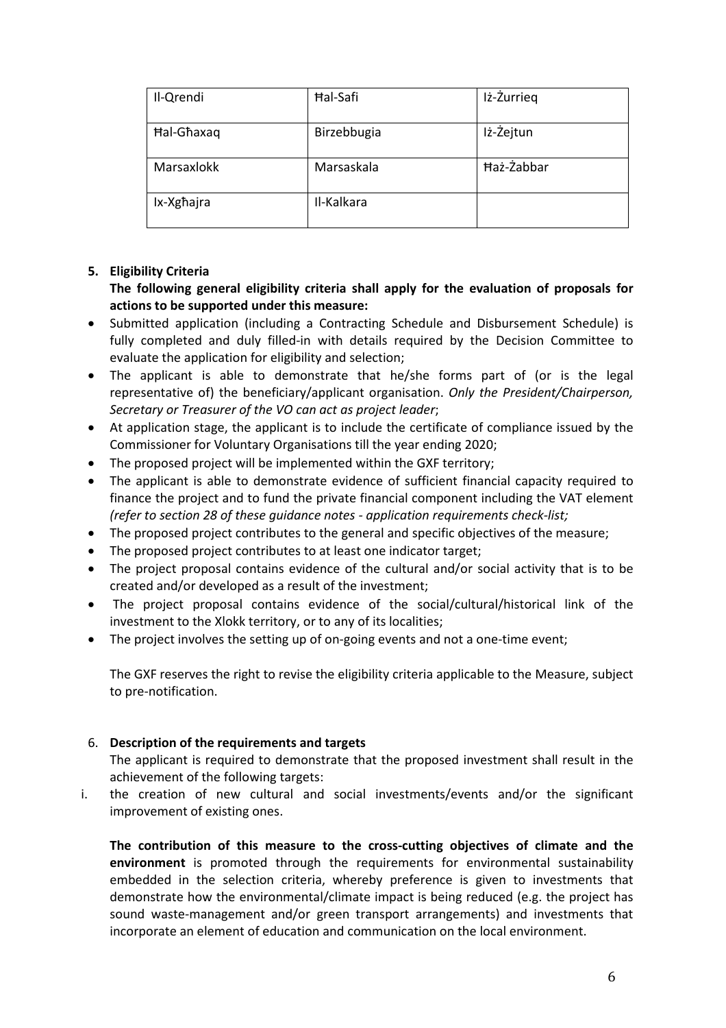| Il-Qrendi  | <b>Hal-Safi</b> | Iż-Żurrieg |  |
|------------|-----------------|------------|--|
| Hal-Ghaxaq | Birzebbugia     | Iż-Żejtun  |  |
| Marsaxlokk | Marsaskala      | Haż-Żabbar |  |
| Ix-Xgħajra | Il-Kalkara      |            |  |

### **5. Eligibility Criteria**

**The following general eligibility criteria shall apply for the evaluation of proposals for actions to be supported under this measure:**

- Submitted application (including a Contracting Schedule and Disbursement Schedule) is fully completed and duly filled-in with details required by the Decision Committee to evaluate the application for eligibility and selection;
- The applicant is able to demonstrate that he/she forms part of (or is the legal representative of) the beneficiary/applicant organisation. *Only the President/Chairperson, Secretary or Treasurer of the VO can act as project leader*;
- At application stage, the applicant is to include the certificate of compliance issued by the Commissioner for Voluntary Organisations till the year ending 2020;
- The proposed project will be implemented within the GXF territory;
- The applicant is able to demonstrate evidence of sufficient financial capacity required to finance the project and to fund the private financial component including the VAT element *(refer to section 28 of these guidance notes - application requirements check-list;*
- The proposed project contributes to the general and specific objectives of the measure;
- The proposed project contributes to at least one indicator target;
- The project proposal contains evidence of the cultural and/or social activity that is to be created and/or developed as a result of the investment;
- The project proposal contains evidence of the social/cultural/historical link of the investment to the Xlokk territory, or to any of its localities;
- The project involves the setting up of on-going events and not a one-time event;

The GXF reserves the right to revise the eligibility criteria applicable to the Measure, subject to pre-notification.

#### 6. **Description of the requirements and targets**

The applicant is required to demonstrate that the proposed investment shall result in the achievement of the following targets:

i. the creation of new cultural and social investments/events and/or the significant improvement of existing ones.

**The contribution of this measure to the cross-cutting objectives of climate and the environment** is promoted through the requirements for environmental sustainability embedded in the selection criteria, whereby preference is given to investments that demonstrate how the environmental/climate impact is being reduced (e.g. the project has sound waste-management and/or green transport arrangements) and investments that incorporate an element of education and communication on the local environment.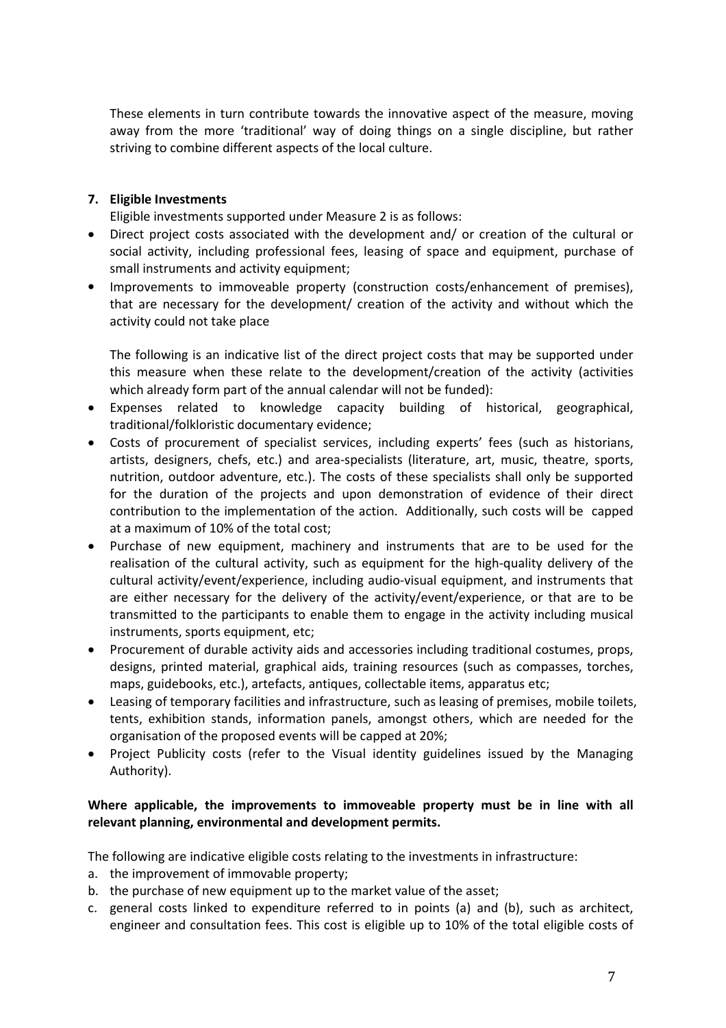These elements in turn contribute towards the innovative aspect of the measure, moving away from the more 'traditional' way of doing things on asingle discipline, but rather striving to combine different aspects of the local culture.

### **7. Eligible Investments**

Eligible investments supported under Measure 2 is as follows:

- Direct project costs associated with the development and/ or creation of the cultural or social activity, including professional fees, leasing of space and equipment, purchase of small instruments and activity equipment;
- Improvements to immoveable property (construction costs/enhancement of premises), that are necessary for the development/ creation of the activity and withoutwhich the activity could not take place

The following is an indicative list of the direct project costs that may be supported under this measure when these relate to the development/creation of the activity (activities which already form part of the annual calendar will not be funded):

- Expenses related to knowledge capacity building of historical, geographical, traditional/folkloristic documentary evidence;
- Costs of procurement of specialist services, including experts' fees (such as historians, artists, designers, chefs, etc.) and area-specialists (literature, art, music, theatre, sports, nutrition, outdoor adventure, etc.). The costs of these specialists shall only be supported for the duration of the projects and upon demonstration of evidence of their direct contribution to the implementation of the action. Additionally, such costs will be capped at a maximum of 10% of the total cost;
- Purchase of new equipment, machinery and instruments that are to be used for the realisation of the cultural activity, such as equipment for the high-quality delivery of the cultural activity/event/experience, including audio-visual equipment, and instruments that are either necessary for the delivery of the activity/event/experience, or that are to be transmitted to the participants to enable them to engage in the activity including musical instruments, sports equipment, etc;
- Procurement of durable activity aids and accessories including traditional costumes, props, designs, printed material, graphical aids, training resources (such as compasses, torches, maps, guidebooks, etc.), artefacts, antiques, collectable items, apparatus etc;
- Leasing of temporary facilities and infrastructure, such as leasing of premises, mobile toilets, tents, exhibition stands, information panels, amongst others, which are needed for the organisation of the proposed events will be capped at 20%;
- Project Publicity costs (refer to the Visual identity guidelines issued by the Managing Authority).

### **Where applicable, the improvements to immoveable property must be in line with all relevant planning, environmental and development permits.**

The following are indicative eligible costs relating to the investments in infrastructure:

- a. the improvement of immovable property;
- b. the purchase of new equipment up to the market value of the asset;
- c. general costs linked to expenditure referred to in points (a) and (b), such as architect, engineer and consultation fees. This cost is eligible up to 10% of the total eligible costs of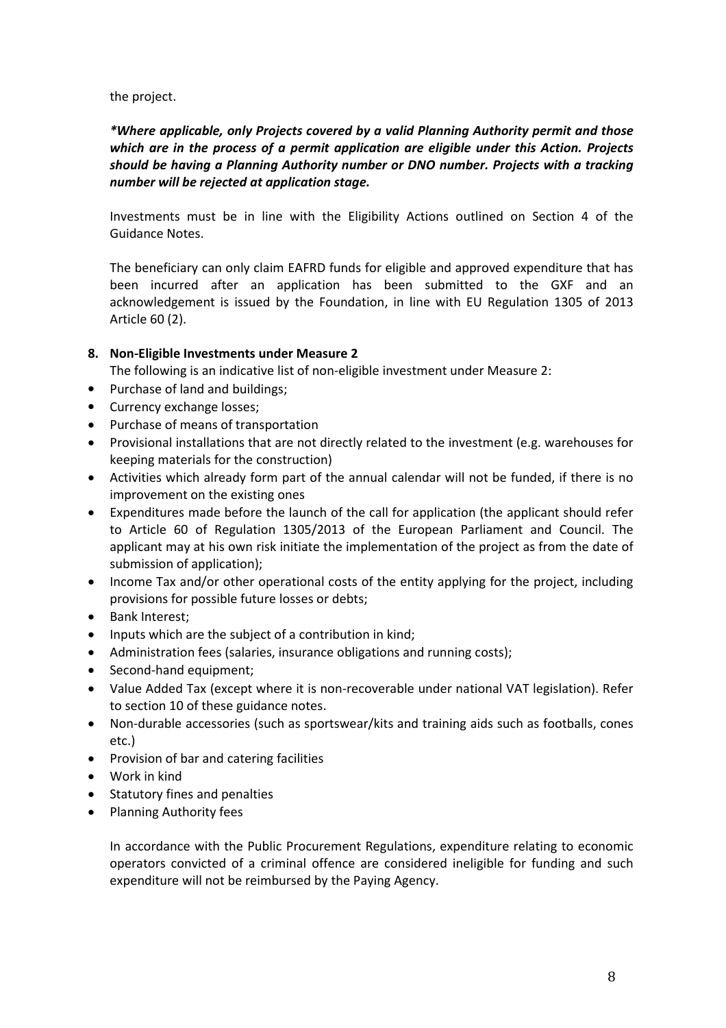the project.

*\*Where applicable, only Projects covered by a valid Planning Authority permit and those which are in the process of a permit application are eligible under this Action. Projects should be having a Planning Authority number or DNO number. Projects with a tracking number will be rejected at application stage.*

Investments must be in line with the Eligibility Actions outlined on Section 4 of the Guidance Notes.

The beneficiary can only claim EAFRD funds for eligible and approved expenditure that has been incurred after an application has been submitted to the GXF and an acknowledgement is issued by the Foundation, in line with EU Regulation 1305 of 2013 Article 60 (2).

### **8. Non-Eligible Investments under Measure 2**

The following is an indicative list of non-eligible investment under Measure 2:

- Purchase of land and buildings;
- Currency exchange losses;
- Purchase of means of transportation
- Provisional installations that are not directly related to the investment (e.g. warehouses for keeping materials for the construction)
- Activities which already form part of the annual calendar will not be funded, if there is no improvement on the existing ones
- Expenditures made before the launch of the call for application (the applicant should refer to Article 60 of Regulation 1305/2013 of the European Parliament and Council. The applicant may at his own risk initiate the implementation of the project as from the date of submission of application);
- Income Tax and/or other operational costs of the entity applying for the project, including provisions for possible future losses or debts;
- Bank Interest;
- Inputs which are the subject of a contribution in kind;
- Administration fees (salaries, insurance obligations and running costs);
- Second-hand equipment;
- Value Added Tax (except where it is non-recoverable under national VAT legislation). Refer to section 10 of these guidance notes.
- Non-durable accessories (such as sportswear/kits and training aids such as footballs, cones etc.)
- **•** Provision of bar and catering facilities
- Work in kind
- Statutory fines and penalties
- Planning Authority fees

In accordance with the Public Procurement Regulations, expenditure relating to economic operators convicted of a criminal offence are considered ineligible for funding and such expenditure will not be reimbursed by the Paying Agency.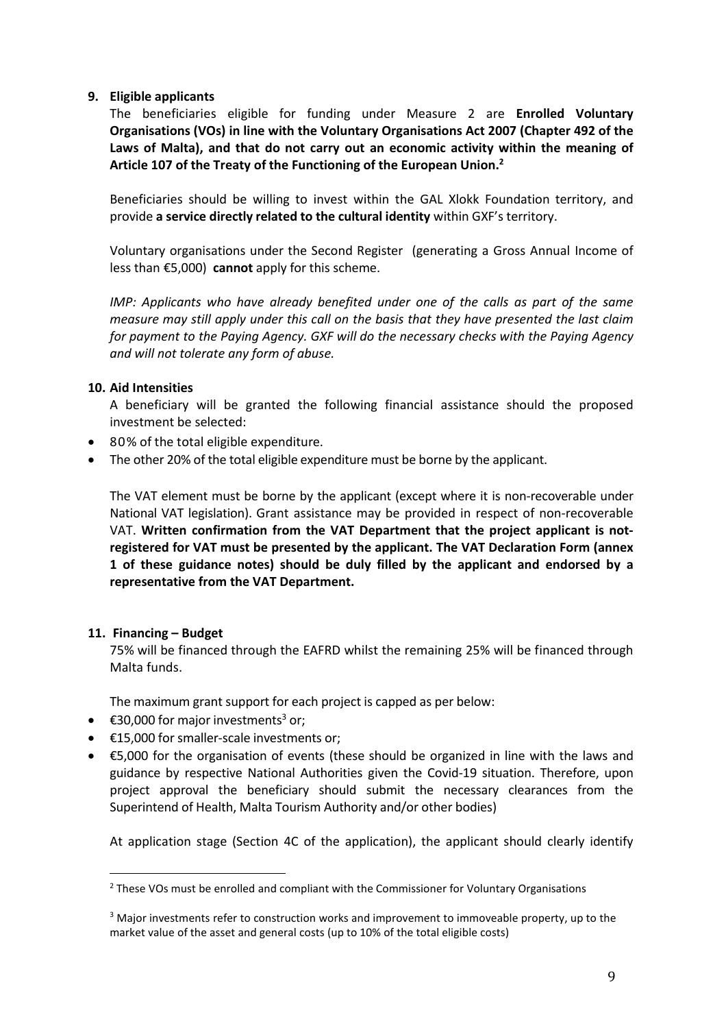#### **9. Eligible applicants**

The beneficiaries eligible for funding under Measure 2 are **Enrolled Voluntary Organisations (VOs) in line with the Voluntary Organisations Act 2007 (Chapter 492 of the Laws of Malta), and that do not carry out an economic activity within the meaning of Article 107 of the Treaty of the Functioning of the European Union.[2](#page-8-0)**

Beneficiaries should be willing to invest within the GAL Xlokk Foundation territory, and provide **a service directly related to the cultural identity** within GXF's territory.

Voluntary organisations under the Second Register (generating a Gross Annual Income of less than €5,000) **cannot** apply for this scheme.

*IMP: Applicants who have already benefited under one of the calls as part of the same measure may still apply under this call on the basis that they have presented the last claim for payment to the Paying Agency. GXF will do the necessary checks with the Paying Agency and will not tolerate any form of abuse.*

#### **10. Aid Intensities**

A beneficiary will be granted the following financial assistance should the proposed investment be selected:

- 80% of the total eligible expenditure.
- The other 20% of the total eligible expenditure must be borne by the applicant.

The VAT element must be borne by the applicant (except where it is non-recoverable under National VAT legislation). Grant assistance may be provided in respect of non-recoverable VAT. **Written confirmation from the VAT Department that the project applicant is not registered for VAT must be presented by the applicant. The VAT Declaration Form (annex 1 of these guidance notes) should be duly filled by the applicant and endorsed by a representative from the VAT Department.**

#### **11. Financing – Budget**

75% will be financed through the EAFRD whilst the remaining 25% will be financed through Malta funds.

The maximum grant support for each project is capped as per below:

- $\bullet$   $\in$  [3](#page-8-1)0,000 for major investments<sup>3</sup> or;
- €15,000 for smaller-scale investments or;
- €5,000 for the organisation of events (these should be organized in line with the laws and guidance by respective National Authorities given the Covid-19 situation. Therefore, upon project approval the beneficiary should submit the necessary clearances from the Superintend of Health, Malta Tourism Authority and/or other bodies)

At application stage (Section 4C of the application), the applicant should clearly identify

<span id="page-8-0"></span> $<sup>2</sup>$  These VOs must be enrolled and compliant with the Commissioner for Voluntary Organisations</sup>

<span id="page-8-1"></span><sup>&</sup>lt;sup>3</sup> Major investments refer to construction works and improvement to immoveable property, up to the market value of the asset and general costs (up to 10% of the total eligible costs)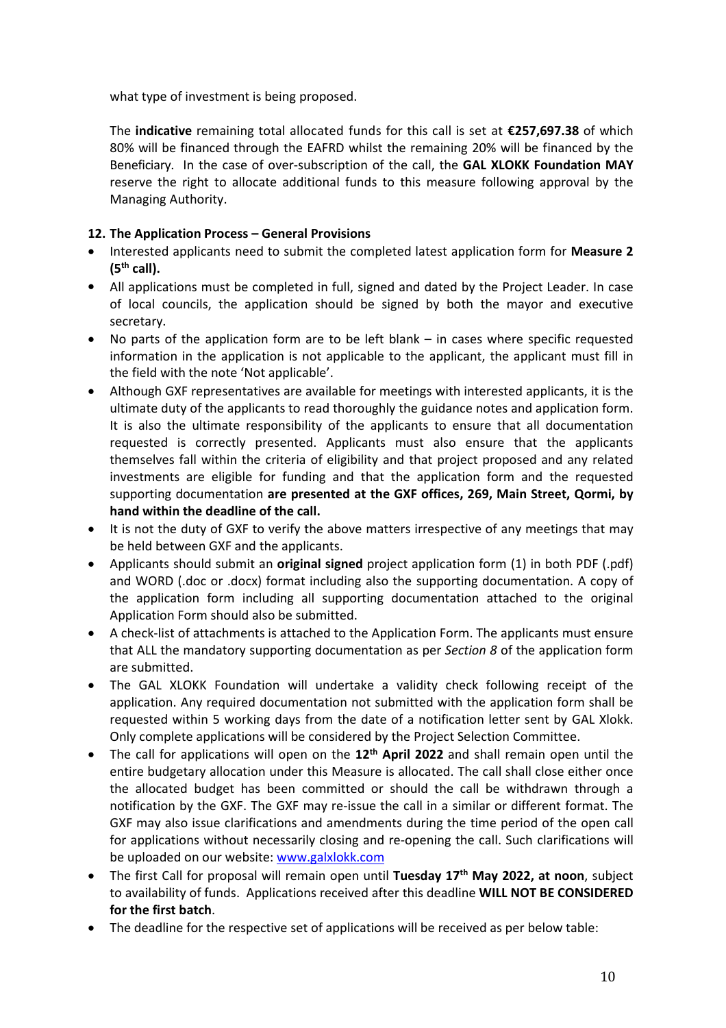what type of investment is being proposed.

The **indicative** remaining total allocated funds for this call is set at **€257,697.38** of which 80% will be financed through the EAFRD whilst the remaining 20% will be financed by the Beneficiary. In the case of over-subscription of the call, the **GAL XLOKK Foundation MAY** reserve the right to allocate additional funds to this measure following approval by the Managing Authority.

### **12. The Application Process – General Provisions**

- Interested applicants need to submit the completed latest application form for **Measure 2 (5 th call).**
- All applications must be completed in full, signed and dated by the Project Leader. In case of local councils, the application should be signed by both the mayor and executive secretary.
- No parts of the application form are to be left blank in cases where specific requested information in the application is not applicable to the applicant, the applicant must fill in the field with the note 'Not applicable'.
- Although GXF representatives are available for meetings with interested applicants, it is the ultimate duty of the applicants to read thoroughly the guidance notes and application form. It is also the ultimate responsibility of the applicants to ensure that all documentation requested is correctly presented. Applicants must also ensure that the applicants themselves fall within the criteria of eligibility and that project proposed and any related investments are eligible for funding and that the application form and the requested supporting documentation **are presented at the GXF offices, 269, Main Street, Qormi, by hand within the deadline of the call.**
- It is not the duty of GXF to verify the above matters irrespective of any meetings that may be held between GXF and the applicants.
- Applicants should submit an **original signed** project application form (1) in both PDF (.pdf) and WORD (.doc or .docx) format including also the supporting documentation. A copy of the application form including all supporting documentation attached to the original Application Form should also be submitted.
- A check-list of attachments is attached to the Application Form. The applicants must ensure that ALL the mandatory supporting documentation as per *Section 8* of the application form are submitted.
- The GAL XLOKK Foundation will undertake a validity check following receipt of the application. Any required documentation not submitted with the application form shall be requested within 5 working days from the date of a notification letter sent by GAL Xlokk. Only complete applications will be considered by the Project Selection Committee.
- The call for applications will open on the **12 th April 2022** and shall remain open until the entire budgetary allocation under this Measure is allocated. The call shall close either once the allocated budget has been committed or should the call be withdrawn through a notification by the GXF.The GXF may re-issue the call in a similar or different format. The GXF may also issue clarifications and amendments during the time period of the open call for applications without necessarily closing and re-opening the call. Such clarifications will be uploaded on our website: [www.galxlokk.com](http://www.galxlokk.com)
- The first Call for proposal will remain open until **Tuesday 17 th May 2022, at noon**, subject to availability of funds. Applications received after this deadline **WILL NOT BE CONSIDERED for the first batch**.
- The deadline for the respective set of applications will be received as per below table: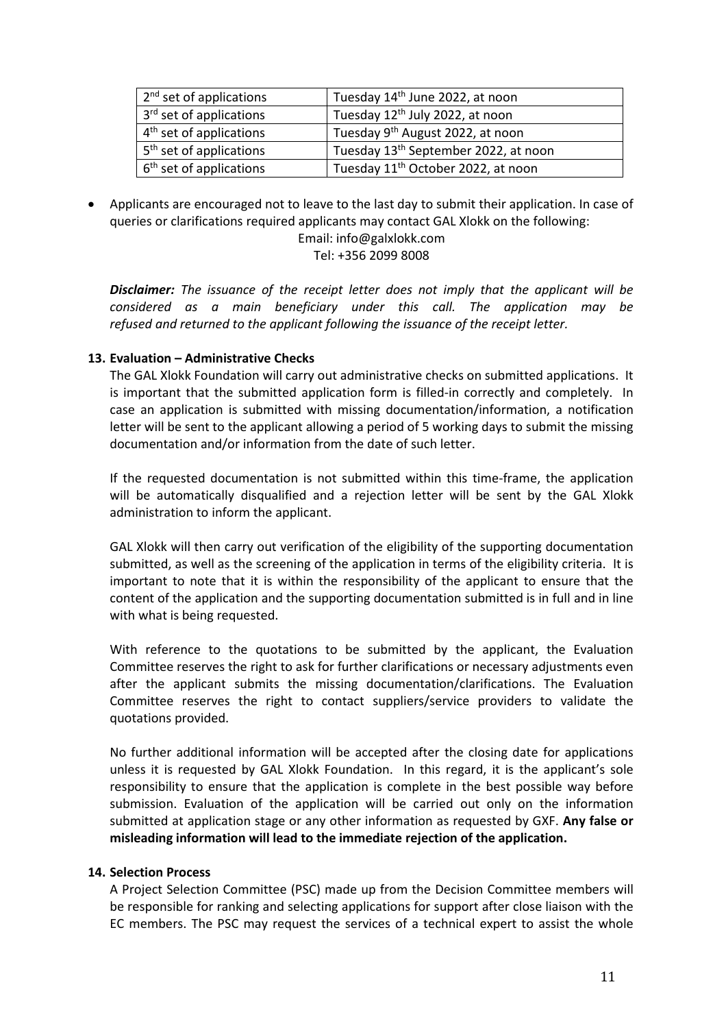| 2 <sup>nd</sup> set of applications | Tuesday 14 <sup>th</sup> June 2022, at noon      |
|-------------------------------------|--------------------------------------------------|
| 3 <sup>rd</sup> set of applications | Tuesday 12 <sup>th</sup> July 2022, at noon      |
| $4th$ set of applications           | Tuesday 9 <sup>th</sup> August 2022, at noon     |
| 5 <sup>th</sup> set of applications | Tuesday 13 <sup>th</sup> September 2022, at noon |
| 6 <sup>th</sup> set of applications | Tuesday 11 <sup>th</sup> October 2022, at noon   |

 Applicants are encouraged not to leave to the last day to submit their application. In case of queries or clarifications required applicants may contact GAL Xlokk on the following: Email: info@galxlokk.com

Tel: +356 2099 8008

*Disclaimer: The issuance of the receipt letter does not imply thatthe applicant will be considered as a main beneficiary under this call. The application may be refused and returned to the applicant following the issuance of the receipt letter.*

#### **13. Evaluation –Administrative Checks**

The GAL Xlokk Foundation will carry out administrative checks on submitted applications. It is important that the submitted application form is filled-in correctly and completely. In case an application is submitted with missing documentation/information, a notification letter will be sent to the applicant allowing a period of 5 working days to submit the missing documentation and/or information from the date of such letter.

If the requested documentation is not submitted within this time-frame, the application will be automatically disqualified and a rejection letter will be sent by the GAL Xlokk administration to inform the applicant.

GAL Xlokk will then carry out verification of the eligibility of the supporting documentation submitted, as well as the screening of the application in terms of the eligibility criteria. It is important to note that it is within the responsibility of the applicant to ensure that the content of the application and the supporting documentation submitted is in full and in line with what is being requested.

With reference to the quotations to be submitted by the applicant, the Evaluation Committee reserves the right to ask for further clarifications or necessary adjustments even after the applicant submits the missing documentation/clarifications. The Evaluation Committee reserves the right to contact suppliers/service providers to validate the quotations provided.

No further additional information will be accepted after the closing date for applications unless it is requested byGAL Xlokk Foundation. In this regard, it is the applicant's sole responsibility to ensure that the application is complete in the best possible way before submission. Evaluation of the application will be carried out only on the information submitted at application stage or any other information as requested by GXF. **Any false or misleading information will lead to the immediate rejection of the application.**

#### **14. Selection Process**

A Project Selection Committee (PSC) made up from the Decision Committee members will be responsible for ranking and selecting applications for support after close liaison with the EC members. The PSC may request the services of a technical expert to assist the whole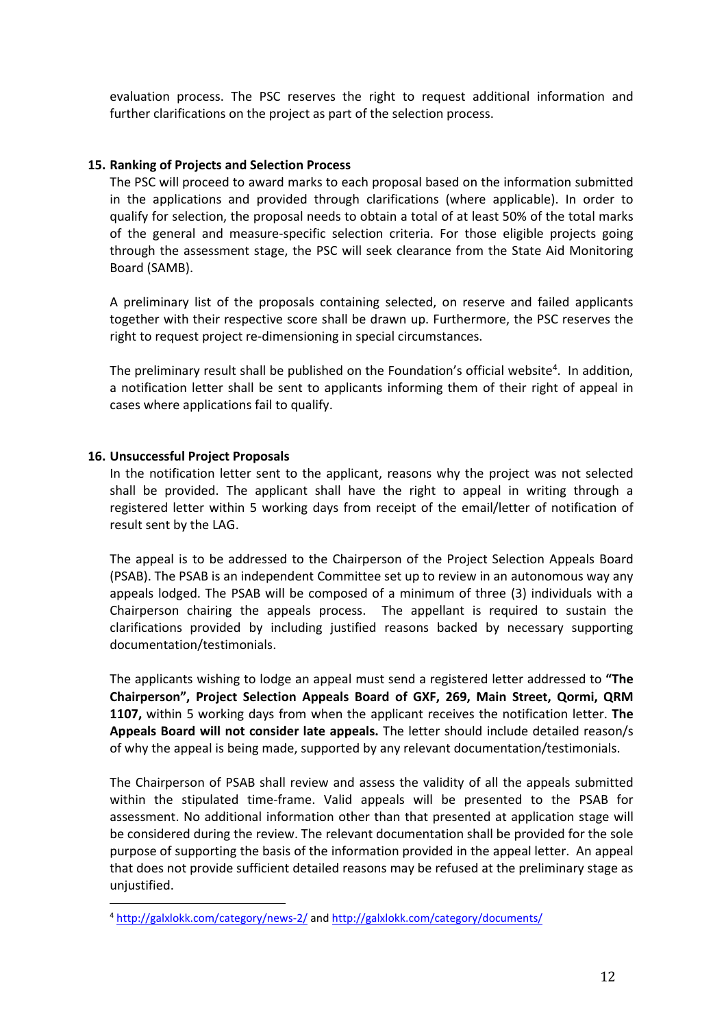evaluation process. The PSC reserves the right to request additional information and further clarifications on the project as part of the selection process.

#### **15. Ranking of Projects and Selection Process**

The PSC will proceed to award marks to each proposal based on the information submitted in the applications and provided through clarifications (where applicable). In order to qualify for selection, the proposal needs to obtain a total of at least 50% of the total marks of the general and measure-specific selection criteria. For those eligible projects going through the assessment stage, the PSC will seek clearance from the State Aid Monitoring Board (SAMB).

A preliminary list of the proposals containing selected, on reserve and failed applicants together with their respective score shall be drawn up. Furthermore, the PSC reserves the right to request project re-dimensioning in special circumstances.

The preliminary result shall be published on the Foundation's official website<sup>[4](#page-11-0)</sup>. In addition, a notification letter shall be sent to applicants informing them of their right of appeal in cases where applications fail to qualify.

#### **16. Unsuccessful Project Proposals**

In the notification letter sent to the applicant, reasons why the project was not selected shall be provided. The applicant shall have the right to appeal in writing through a registered letter within 5 working days from receipt of the email/letter of notification of result sent by the LAG.

The appeal is to be addressed to the Chairperson of the Project Selection Appeals Board (PSAB). The PSAB is an independent Committee set up to review in an autonomous way any appeals lodged. The PSAB will be composed of a minimum of three (3) individuals with a Chairperson chairing the appeals process. The appellant is required to sustain the clarifications provided by including justified reasons backed by necessary supporting documentation/testimonials.

The applicants wishing to lodge an appeal must send a registered letter addressed to **"The Chairperson", Project Selection Appeals Board of GXF, 269, Main Street, Qormi, QRM 1107,** within 5 working days from when the applicant receives the notification letter. **The Appeals Board will not consider late appeals.** The letter should include detailed reason/s of why the appeal is being made, supported by any relevant documentation/testimonials.

The Chairperson of PSAB shall review and assess the validity of all the appeals submitted within the stipulated time-frame. Valid appeals will be presented to the PSAB for assessment. No additional information other than that presented at application stage will be considered during the review. The relevant documentation shall be provided for the sole purpose of supporting the basis of the information provided in the appeal letter. An appeal that does not provide sufficient detailed reasons may be refused at the preliminary stage as unjustified.

<span id="page-11-0"></span><sup>4</sup> <http://galxlokk.com/category/news-2/> and <http://galxlokk.com/category/documents/>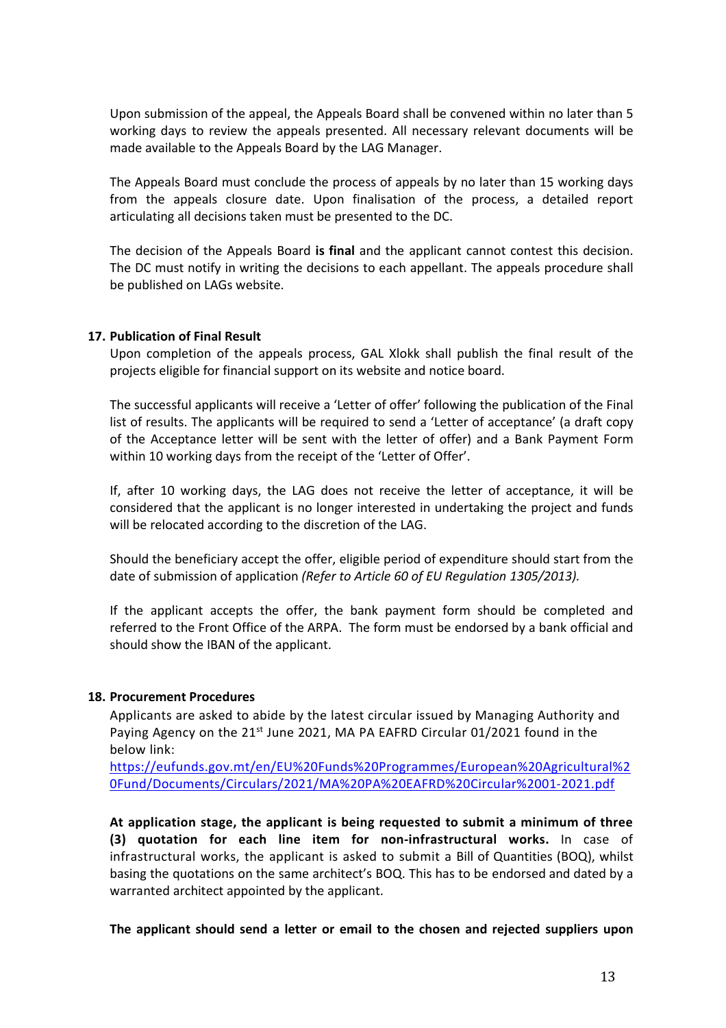Upon submission of the appeal, the Appeals Board shall be convened within no later than 5 working days to review the appeals presented. All necessary relevant documents will be made available to the Appeals Board by the LAG Manager.

The Appeals Board must conclude the process of appeals by no later than 15 working days from the appeals closure date. Upon finalisation of the process, a detailed report articulating all decisions taken must be presented to the DC.

The decision of the Appeals Board **is final** and the applicant cannot contest this decision. The DC must notify in writing the decisions to each appellant. The appeals procedure shall be published on LAGs website.

#### **17. Publication of Final Result**

Upon completion of the appeals process, GAL Xlokk shall publish the final result of the projects eligible for financial support on its website and notice board.

The successful applicants will receive a 'Letter of offer' following the publication of the Final list of results. The applicants will be required to send a 'Letter of acceptance' (a draft copy of the Acceptance letter will be sent with the letter of offer) and a Bank Payment Form within 10 working days from the receipt of the 'Letter of Offer'.

If, after 10 working days, the LAG does not receive the letter of acceptance, it will be considered that the applicant is no longer interested in undertaking the project and funds will be relocated according to the discretion of the LAG.

Should the beneficiary accept the offer, eligible period of expenditure should start from the date of submission of application *(Refer to Article 60 of EU Regulation 1305/2013).*

If the applicant accepts the offer, the bank payment form should be completed and referred to the Front Office of the ARPA. The form must be endorsed by a bank official and should show the IBAN of the applicant.

#### **18. Procurement Procedures**

Applicants are asked to abide by the latest circular issued by Managing Authority and Paying Agency on the 21<sup>st</sup> June 2021, MA PA EAFRD Circular 01/2021 found in the below link:

[https://eufunds.gov.mt/en/EU%20Funds%20Programmes/European%20Agricultural%2](https://eufunds.gov.mt/en/EU%20Funds%20Programmes/European%20Agricultural%20Fund/Documents/Circulars/2021/MA%20PA%20EAFRD%20Circular%2001-2021.pdf) 0Fund/Documents/Circulars/2021/MA%20PA%20EAFRD%20Circular%2001-2021.pdf

**At application stage, the applicant is being requested to submit a minimum of three (3) quotation for each line item for non-infrastructural works.** In case of infrastructural works, the applicant is asked to submit a Bill of Quantities (BOQ), whilst basing the quotations on the same architect's BOQ. This has to be endorsed and dated by a warranted architect appointed by the applicant.

**The applicant should send a letteror email to the chosen and rejected suppliers upon**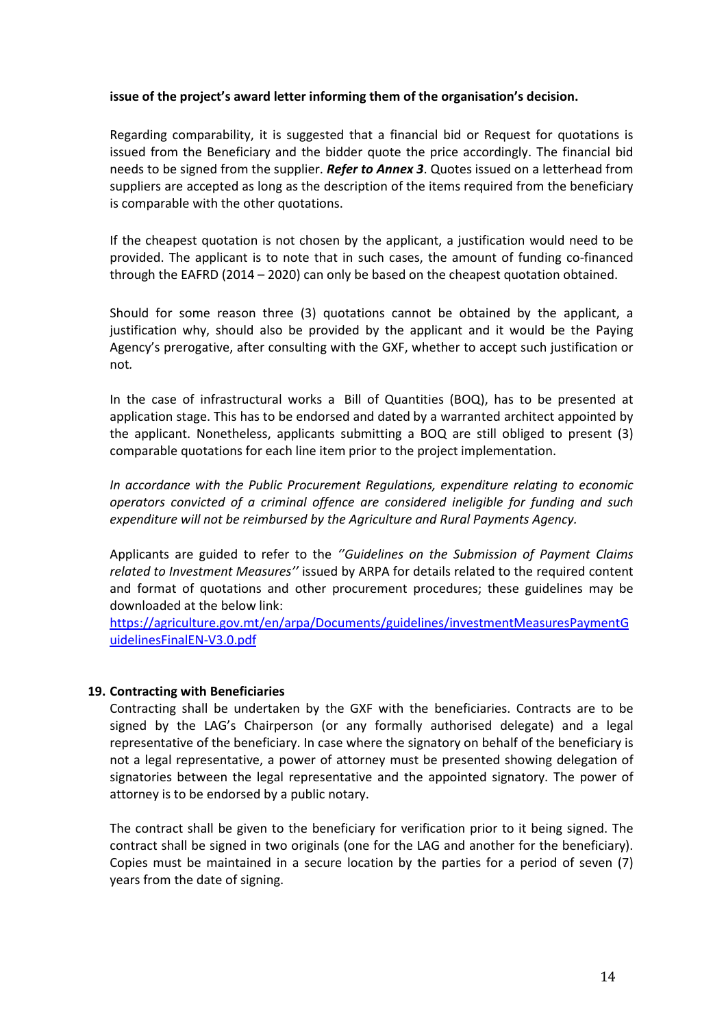#### **issue of the project's award letter informing them of the organisation's decision.**

Regarding comparability, it is suggested that a financial bid or Request for quotations is issued from the Beneficiary and the bidder quote the price accordingly. The financial bid needs to be signed from the supplier. *Refer to Annex 3*. Quotes issued on a letterhead from suppliers are accepted as long as the description of the items required from the beneficiary is comparable with the other quotations.

If the cheapest quotation is not chosen by the applicant, a justification would need to be provided. The applicant is to note that in such cases, the amount of funding co-financed through the EAFRD (2014 – 2020) can only be based on the cheapest quotation obtained.

Should for some reason three (3) quotations cannot be obtained by the applicant, a justification why, should also be provided by the applicant and it would be the Paying Agency's prerogative, after consulting with the GXF, whether to accept such justification or not*.*

In the case of infrastructural works a Bill of Quantities (BOQ), has to be presented at application stage. This has to be endorsed and dated by a warranted architect appointed by the applicant. Nonetheless, applicants submitting a BOQ are still obliged to present (3) comparable quotations for each line item prior to the projectimplementation.

*In accordance with the Public Procurement Regulations, expenditure relating to economic operators convicted of a criminal offence are considered ineligible for funding and such expenditure will not be reimbursed by the Agriculture and Rural Payments Agency.*

Applicants are guided to refer to the *''Guidelines on the Submission of Payment Claims related to Investment Measures''* issued by ARPA for details related to the required content and format of quotations and other procurement procedures; these guidelines may be downloaded at the below link:

[https://agriculture.gov.mt/en/arpa/Documents/guidelines/investmentMeasuresPaymentG](https://agriculture.gov.mt/en/arpa/Documents/guidelines/investmentMeasuresPaymentGuidelinesFinalEN-V3.0.pdf) uidelinesFinalEN-V3.0.pdf

#### **19. Contracting with Beneficiaries**

Contracting shall be undertaken by the GXF with the beneficiaries. Contracts are to be signed by the LAG's Chairperson (or any formally authorised delegate) and a legal representative of the beneficiary. In case where the signatory on behalf of the beneficiary is not a legal representative, a power of attorney must be presented showing delegation of signatories between the legal representative and the appointed signatory. The power of attorney is to be endorsed by a public notary.

The contract shall be given to the beneficiary for verification prior to it being signed. The contract shall be signed in two originals (one for the LAG and another for the beneficiary). Copies must be maintained in a secure location by the parties for a period of seven (7) years from the date of signing.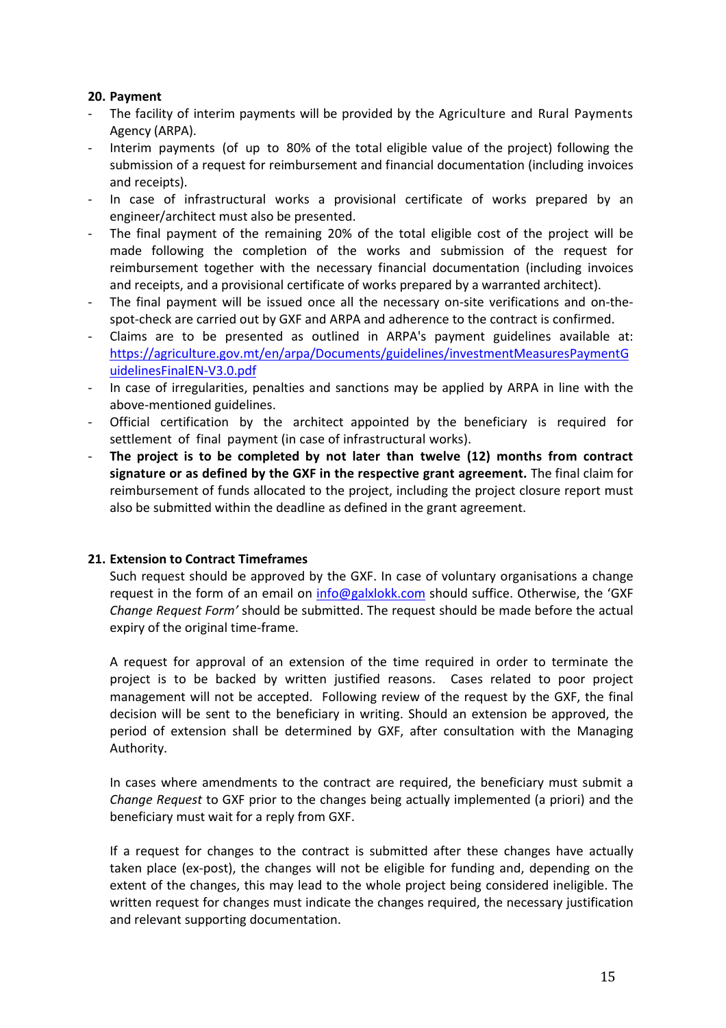### **20. Payment**

- The facility of interim payments will be provided by the Agriculture and Rural Payments Agency (ARPA).
- Interim payments (of up to 80% of the total eligible value of the project) following the submission of a request for reimbursement and financial documentation (including invoices and receipts).
- In case of infrastructural works a provisional certificate of works prepared by an
- engineer/architect must also be presented.<br>The final payment of the remaining 20% of the total eligible cost of the project will be made following the completion of the works and submission of the request for reimbursement together with the necessary financial documentation (including invoices and receipts, and a provisional certificate of works prepared by a warranted architect).
- The final payment will be issued once all the necessary on-site verifications and on-the spot-check are carried out by GXF and ARPA and adherence to the contract is confirmed.
- Claims are to be presented as outlined in ARPA's payment guidelines available at: [https://agriculture.gov.mt/en/arpa/Documents/guidelines/investmentMeasuresPaymentG](https://agriculture.gov.mt/en/arpa/Documents/guidelines/investmentMeasuresPaymentGuidelinesFinalEN-V3.0.pdf) uidelinesFinalEN-V3.0.pdf
- In case of irregularities, penalties and sanctions may be applied by ARPA in line with the above-mentioned guidelines.
- Official certification by the architect appointed by the beneficiary is required for settlement of final payment (in case of infrastructural works).
- **The project is to be completed by not later than twelve (12) months from contract signature or as defined by the GXF in the respective grant agreement.** The final claim for reimbursement of funds allocated to the project, including the project closure report must also be submitted within the deadline as defined in the grant agreement.

#### **21. Extension to Contract Timeframes**

Such request should be approved by the GXF. In case of voluntary organisations a change request in the form of an email on [info@galxlokk.com](mailto:info@galxlokk.com) should suffice. Otherwise, the 'GXF *Change Request Form'* should be submitted.The request should be made before the actual expiry of the original time-frame.

A request for approval of an extension of the time required in order to terminate the project is to be backed by written justified reasons. Cases related to poor project management will not be accepted. Following review of the request by the GXF, the final decision will be sent to the beneficiary in writing. Should an extension be approved, the period of extension shall be determined by GXF, after consultation with the Managing Authority.

In cases where amendments to the contract are required, the beneficiary must submit a *Change Request* to GXF prior to the changes being actually implemented (a priori) and the beneficiary must wait for a reply from GXF.

If a request for changes to the contract is submitted after these changes have actually taken place (ex-post), the changes will not be eligible for funding and, depending on the extent of the changes, this may lead to the whole project being considered ineligible. The written request for changes must indicate the changes required, the necessary justification and relevant supporting documentation.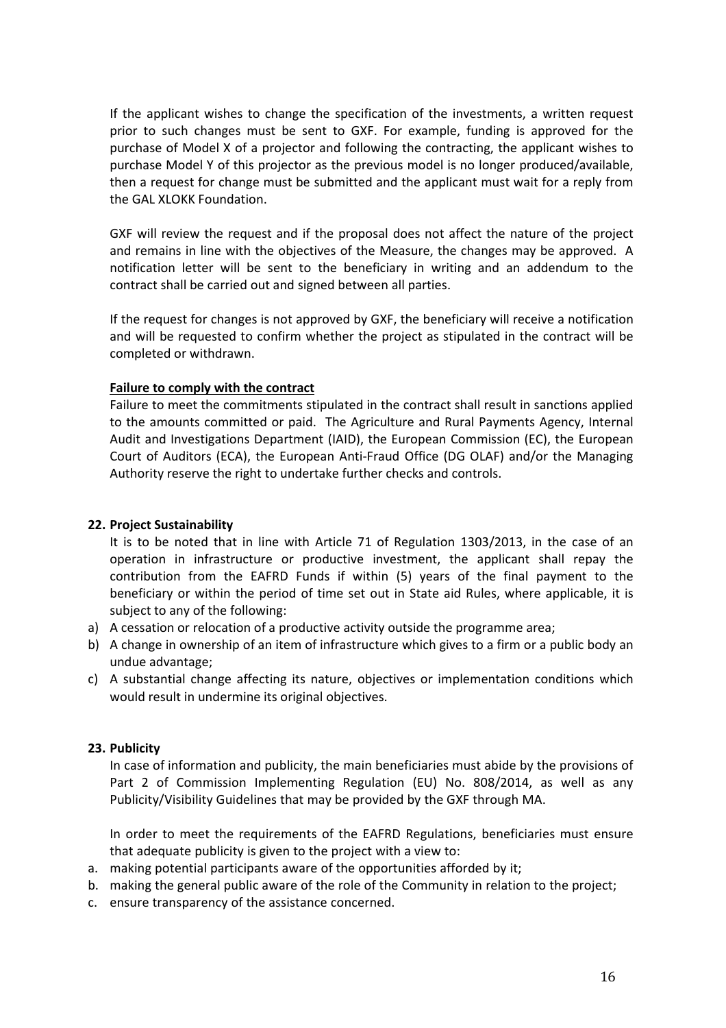If the applicant wishes to change the specification of the investments, a written request prior to such changes must be sent to GXF. For example, funding is approved for the purchase of Model X of a projector and following the contracting, the applicant wishes to purchase Model Y of this projector as the previous model is no longer produced/available, then a request for change must be submitted and the applicant must wait for a reply from the GAL XLOKK Foundation.

GXF will review the request and if the proposal does not affect the nature of the project and remains in line with the objectives of the Measure, the changes may be approved. A notification letter will be sent to the beneficiary in writing and an addendum to the contract shall be carried out and signed between all parties.

If the request for changes is not approved by GXF, the beneficiary will receive a notification and will be requested to confirm whether the project as stipulated in the contract will be completed or withdrawn.

#### **Failure to comply with the contract**

Failure to meet the commitments stipulated in the contract shall result in sanctions applied to the amounts committed or paid. The Agriculture and Rural Payments Agency, Internal Audit and Investigations Department (IAID), the European Commission (EC), the European Court of Auditors (ECA), the European Anti-Fraud Office (DG OLAF) and/or the Managing Authority reserve the right to undertake further checks and controls.

#### **22. Project Sustainability**

It is to be noted that in line with Article 71 of Regulation 1303/2013, in the case of an operation in infrastructure or productive investment, the applicant shall repay the contribution from the EAFRD Funds if within (5) years of the final payment to the beneficiary or within the period of time set out in State aid Rules, where applicable, it is subject to any of the following:

- a) A cessation or relocation of a productive activity outside the programme area;
- b) A change in ownership of an item of infrastructure which gives to a firm or a public body an undue advantage;
- c) A substantial change affecting its nature, objectives or implementation conditions which would result in undermine its original objectives.

#### **23. Publicity**

In case of information and publicity, the main beneficiaries must abide by the provisions of Part 2 of Commission Implementing Regulation (EU) No. 808/2014, as well as any Publicity/Visibility Guidelines that may be provided by the GXF through MA.

In order to meet the requirements of the EAFRD Regulations, beneficiaries must ensure that adequate publicity is given to the project with a view to:

- a. making potential participants aware of the opportunities afforded by it;
- b. making the general public aware of the role of the Community in relation to the project;
- c. ensure transparency of the assistance concerned.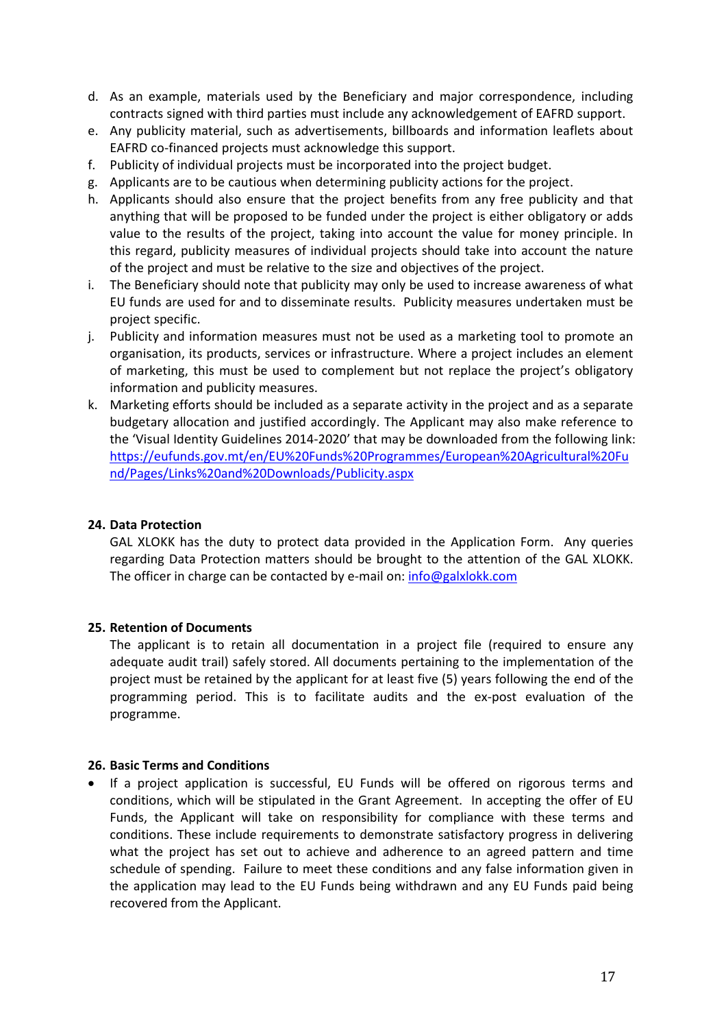- d. As an example, materials used by the Beneficiary and major correspondence, including contracts signed with third parties must include any acknowledgement of EAFRD support.
- e. Any publicity material, such as advertisements, billboards and information leaflets about EAFRD co-financed projects must acknowledge this support.
- f. Publicity of individual projects must be incorporated into the project budget.
- g. Applicants are to be cautious when determining publicity actions for the project.
- h. Applicants should also ensure that the project benefits from any free publicity and that anything that will be proposed to be funded under the project is either obligatory or adds value to the results of the project, taking into account the value for money principle. In this regard, publicity measures of individual projects should take into account the nature of the projectand must be relative to the size and objectives of the project.
- i. The Beneficiary should note that publicity may only be used to increase awareness of what EU funds are used for and to disseminate results. Publicity measures undertaken must be project specific.
- j. Publicity and information measures must not be used as a marketing tool to promote an organisation, its products, services or infrastructure. Where a project includes an element of marketing, this must be used to complement but not replace the project's obligatory information and publicity measures.
- k. Marketing efforts should be included as a separate activity in the project and as a separate budgetary allocation and justified accordingly.The Applicant may also make reference to the 'Visual Identity Guidelines 2014-2020' that may be downloaded from the following link: [https://eufunds.gov.mt/en/EU%20Funds%20Programmes/European%20Agricultural%20Fu](https://eufunds.gov.mt/en/EU%20Funds%20Programmes/European%20Agricultural%20Fund/Pages/Links%20and%20Downloads/Publicity.aspx) nd/Pages/Links%20and%20Downloads/Publicity.aspx

#### **24. Data Protection**

GAL XLOKK has the duty to protect data provided in the Application Form. Any queries regarding Data Protection matters should be brought to the attention of the GAL XLOKK.<br>The officer in charge can be contacted by e-mail on: info@galxlokk.com

#### **25. Retention of Documents**

The applicant is to retain all documentation in a project file (required to ensure any adequate audit trail) safely stored. All documents pertaining to the implementation of the project must be retained by the applicant for at least five (5) years following the end of the programming period. This is to facilitate audits and the ex-post evaluation of the programme.

#### **26. Basic Terms and Conditions**

• If a project application is successful. EU Funds will be offered on rigorous terms and conditions, which will be stipulated in the Grant Agreement. In accepting the offer of EU Funds, the Applicant will take on responsibility for compliance with these terms and conditions. These include requirements to demonstrate satisfactory progress in delivering what the project has set out to achieve and adherence to an agreed pattern and time schedule of spending. Failure to meet these conditions and any false information given in the application may lead to the EU Funds being withdrawn and any EU Funds paid being recovered from the Applicant.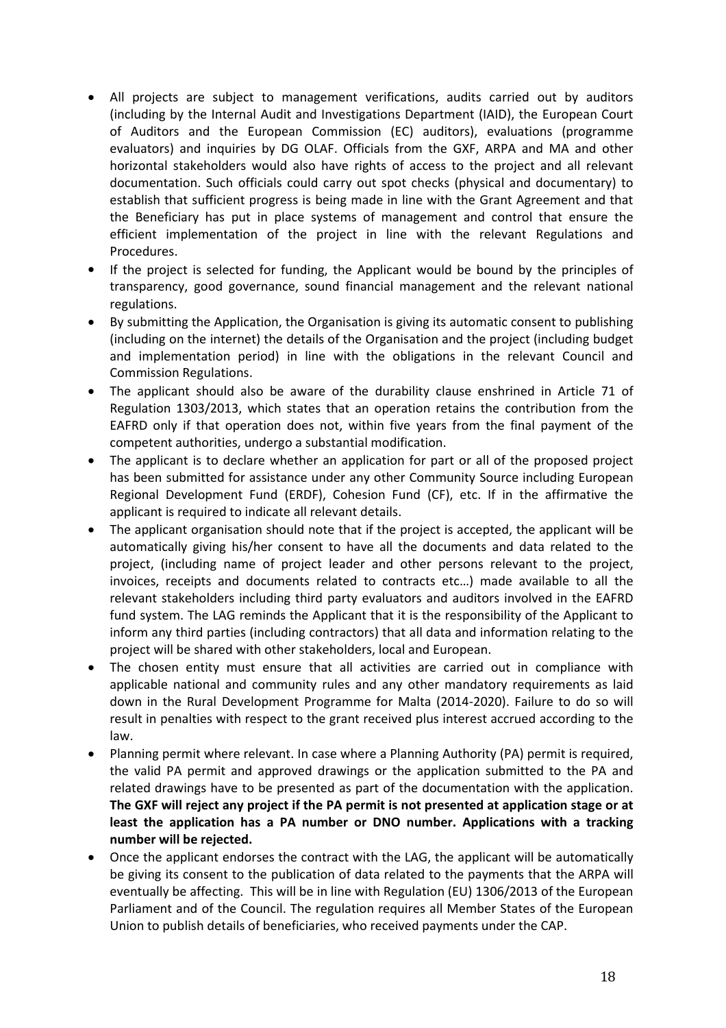- All projects are subject to management verifications, audits carried out by auditors (including by the Internal Audit and Investigations Department (IAID), the European Court of Auditors and the European Commission (EC) auditors), evaluations (programme evaluators) and inquiries by DG OLAF. Officials from the GXF, ARPA and MA and other horizontal stakeholders would also have rights of access to the project and all relevant documentation. Such officials could carry out spot checks (physical and documentary) to establish that sufficient progress is being made in line with the Grant Agreement and that the Beneficiary has put in place systems of management and control that ensure the efficient implementation of the project in line with the relevant Regulations and Procedures.
- If the project is selected for funding, the Applicant would be bound by the principles of transparency, good governance, sound financial management and the relevant national regulations.
- By submitting the Application, the Organisation is giving its automatic consent to publishing (including on the internet) the details of the Organisation and the project(including budget and implementation period) in line with the obligations in the relevant Council and Commission Regulations.
- The applicant should also be aware of the durability clause enshrined in Article 71 of Regulation 1303/2013, which states that an operation retains the contribution from the EAFRD only if that operation does not, within five years from the final payment of the competent authorities, undergo a substantial modification.
- The applicant is to declare whether an application for part or all of the proposed project has been submitted for assistance under any other Community Source including European Regional Development Fund (ERDF), Cohesion Fund (CF), etc. If in the affirmative the applicant is required to indicate all relevant details.
- The applicant organisation should note that if the project is accepted, the applicant will be automatically giving his/her consent to have all the documents and data related to the project, (including name of project leader and other persons relevant to the project, invoices, receipts and documents related to contracts etc…) made available to all the relevant stakeholders including third party evaluators and auditors involved in the EAFRD fund system. The LAG reminds the Applicant that it is the responsibility of the Applicant to inform any third parties (including contractors) that all data and information relating to the project will be shared with other stakeholders, local and European.
- The chosen entity must ensure that all activities are carried out in compliance with applicable national and community rules and any other mandatory requirements as laid down in the Rural Development Programme for Malta (2014-2020). Failure to do so will result in penalties with respect to the grant received plus interest accrued according to the law.
- Planning permit where relevant. In case where a Planning Authority (PA) permit is required, the valid PA permit and approved drawings or the application submitted to the PA and related drawings have to be presented as part of the documentation with the application. **The GXF will reject any project if the PA permit isnot presented at application stage or at least the application has a PA number or DNO number. Applications with a tracking number will be rejected.**
- Once the applicant endorses the contract with the LAG, the applicant will be automatically be giving its consent to the publication of data related to the payments that the ARPA will eventually be affecting. This will be in line with Regulation (EU) 1306/2013 of the European Parliament and of the Council. The regulation requires all Member States of the European Union to publish details of beneficiaries, who received payments under the CAP.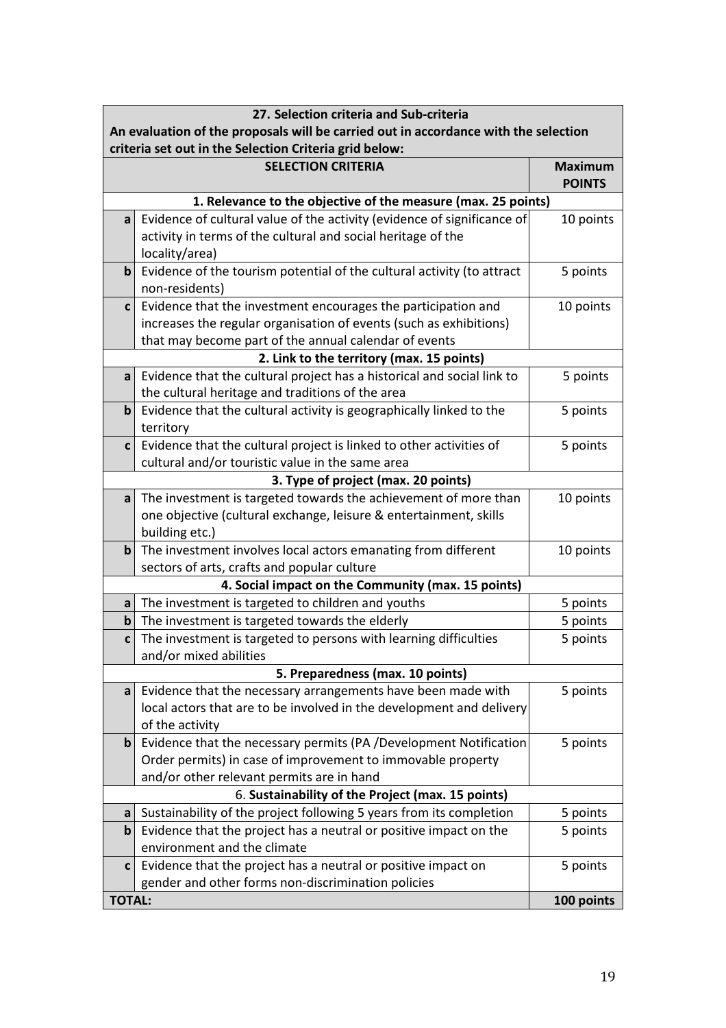|               | 27. Selection criteria and Sub-criteria                                             |                                 |  |  |  |  |
|---------------|-------------------------------------------------------------------------------------|---------------------------------|--|--|--|--|
|               | An evaluation of the proposals will be carried out in accordance with the selection |                                 |  |  |  |  |
|               | criteria set out in the Selection Criteria grid below:                              |                                 |  |  |  |  |
|               | <b>SELECTION CRITERIA</b>                                                           | <b>Maximum</b><br><b>POINTS</b> |  |  |  |  |
|               | 1. Relevance to the objective of the measure (max. 25 points)                       |                                 |  |  |  |  |
| a             | Evidence of cultural value of the activity (evidence of significance of             | 10 points                       |  |  |  |  |
|               | activity in terms of the cultural and social heritage of the                        |                                 |  |  |  |  |
|               | locality/area)                                                                      |                                 |  |  |  |  |
| $\mathbf b$   | Evidence of the tourism potential of the cultural activity (to attract              | 5 points                        |  |  |  |  |
|               | non-residents)                                                                      |                                 |  |  |  |  |
| $\mathbf c$   | Evidence that the investment encourages the participation and                       | 10 points                       |  |  |  |  |
|               | increases the regular organisation of events (such as exhibitions)                  |                                 |  |  |  |  |
|               | that may become part of the annual calendar of events                               |                                 |  |  |  |  |
|               | 2. Link to the territory (max. 15 points)                                           |                                 |  |  |  |  |
| a             | Evidence that the cultural project has a historical and social link to              | 5 points                        |  |  |  |  |
|               | the cultural heritage and traditions of the area                                    |                                 |  |  |  |  |
| $\mathbf b$   | Evidence that the cultural activity is geographically linked to the                 | 5 points                        |  |  |  |  |
|               | territory                                                                           |                                 |  |  |  |  |
| $\mathbf c$   | Evidence that the cultural project is linked to other activities of                 | 5 points                        |  |  |  |  |
|               | cultural and/or touristic value in the same area                                    |                                 |  |  |  |  |
|               | 3. Type of project (max. 20 points)                                                 |                                 |  |  |  |  |
| a             | The investment is targeted towards the achievement of more than                     | 10 points                       |  |  |  |  |
|               | one objective (cultural exchange, leisure & entertainment, skills                   |                                 |  |  |  |  |
|               | building etc.)                                                                      |                                 |  |  |  |  |
| $\mathbf b$   | The investment involves local actors emanating from different                       | 10 points                       |  |  |  |  |
|               | sectors of arts, crafts and popular culture                                         |                                 |  |  |  |  |
|               | 4. Social impact on the Community (max. 15 points)                                  |                                 |  |  |  |  |
| a             | The investment is targeted to children and youths                                   | 5 points                        |  |  |  |  |
| $\mathbf b$   | The investment is targeted towards the elderly                                      | 5 points                        |  |  |  |  |
| C             | The investment is targeted to persons with learning difficulties                    | 5 points                        |  |  |  |  |
|               | and/or mixed abilities                                                              |                                 |  |  |  |  |
|               | 5. Preparedness (max. 10 points)                                                    |                                 |  |  |  |  |
| a             | Evidence that the necessary arrangements have been made with                        | 5 points                        |  |  |  |  |
|               | local actors that are to be involved in the development and delivery                |                                 |  |  |  |  |
|               | of the activity                                                                     |                                 |  |  |  |  |
| b             | Evidence that the necessary permits (PA /Development Notification                   | 5 points                        |  |  |  |  |
|               | Order permits) in case of improvement to immovable property                         |                                 |  |  |  |  |
|               | and/or other relevant permits are in hand                                           |                                 |  |  |  |  |
|               | 6. Sustainability of the Project (max. 15 points)                                   |                                 |  |  |  |  |
| a             | Sustainability of the project following 5 years from its completion                 | 5 points                        |  |  |  |  |
| $\mathbf b$   | Evidence that the project has a neutral or positive impact on the                   | 5 points                        |  |  |  |  |
|               | environment and the climate                                                         |                                 |  |  |  |  |
| $\mathbf{c}$  | Evidence that the project has a neutral or positive impact on                       | 5 points                        |  |  |  |  |
|               | gender and other forms non-discrimination policies                                  |                                 |  |  |  |  |
| <b>TOTAL:</b> |                                                                                     | 100 points                      |  |  |  |  |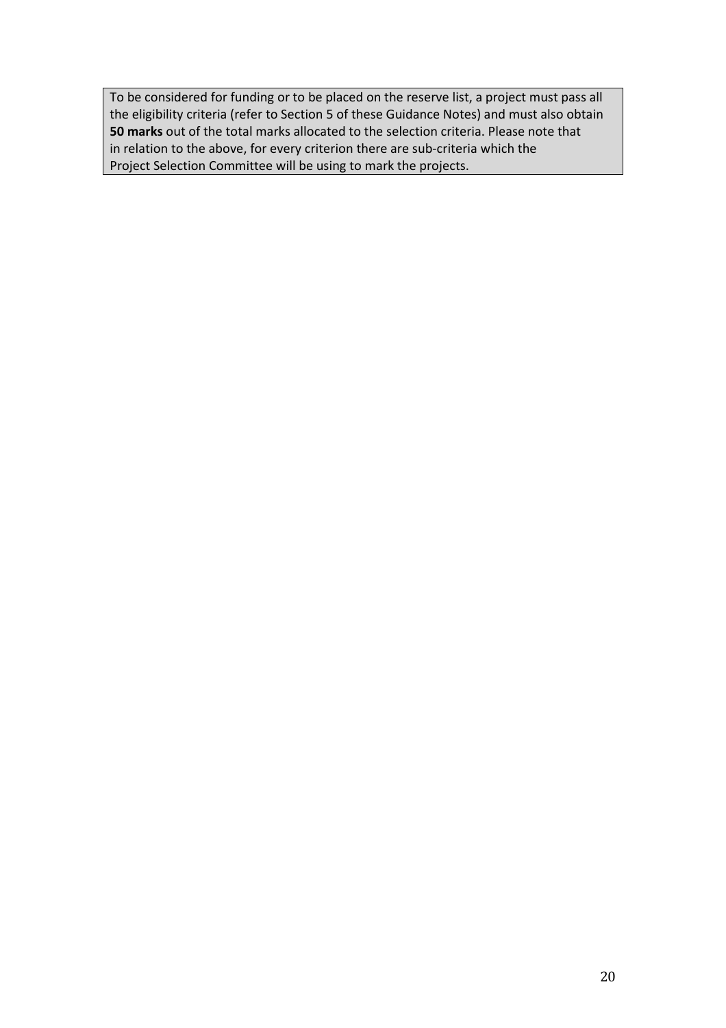To be considered for funding or to be placed on the reserve list, a project must pass all the eligibility criteria (refer to Section 5 of these Guidance Notes) and must also obtain **50 marks** out of the total marks allocated to the selection criteria. Please note that in relation to the above, for every criterion there are sub-criteria which the Project Selection Committee will be using to mark the projects.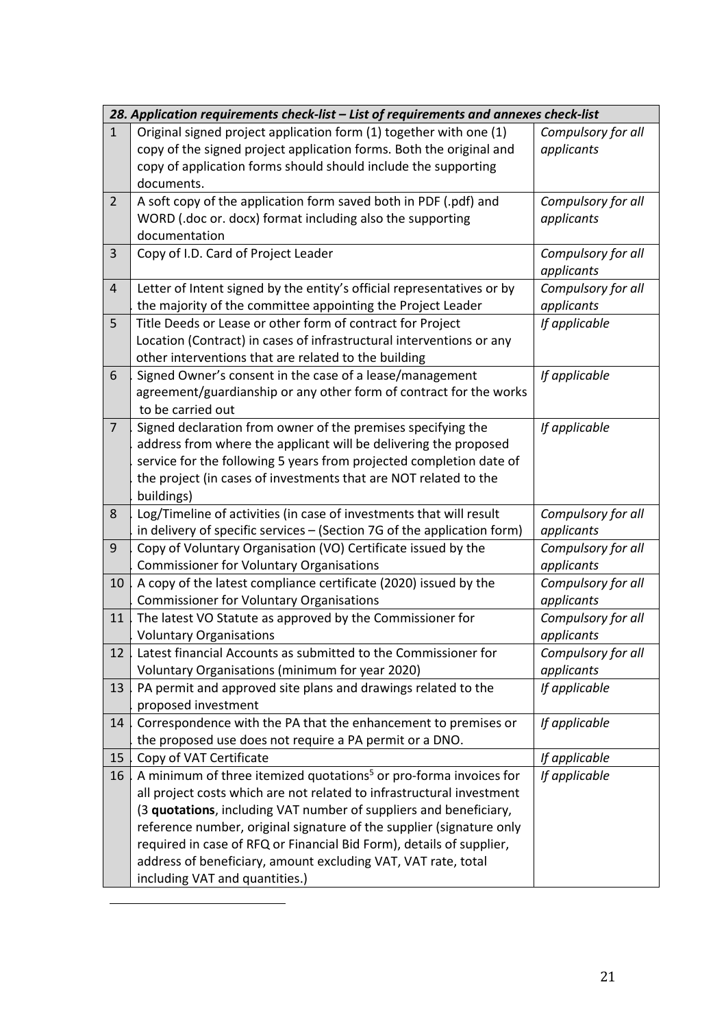<span id="page-20-0"></span>

|                | 28. Application requirements check-list - List of requirements and annexes check-list                                                                                                                                                                                                                                                                                                                                                                                          |                                  |
|----------------|--------------------------------------------------------------------------------------------------------------------------------------------------------------------------------------------------------------------------------------------------------------------------------------------------------------------------------------------------------------------------------------------------------------------------------------------------------------------------------|----------------------------------|
| $\mathbf{1}$   | Original signed project application form (1) together with one (1)<br>copy of the signed project application forms. Both the original and<br>copy of application forms should should include the supporting<br>documents.                                                                                                                                                                                                                                                      | Compulsory for all<br>applicants |
| $\overline{2}$ | A soft copy of the application form saved both in PDF (.pdf) and<br>WORD (.doc or. docx) format including also the supporting<br>documentation                                                                                                                                                                                                                                                                                                                                 | Compulsory for all<br>applicants |
| 3              | Copy of I.D. Card of Project Leader                                                                                                                                                                                                                                                                                                                                                                                                                                            | Compulsory for all<br>applicants |
| $\overline{4}$ | Letter of Intent signed by the entity's official representatives or by<br>the majority of the committee appointing the Project Leader                                                                                                                                                                                                                                                                                                                                          | Compulsory for all<br>applicants |
| 5              | Title Deeds or Lease or other form of contract for Project<br>Location (Contract) in cases of infrastructural interventions or any<br>other interventions that are related to the building                                                                                                                                                                                                                                                                                     | If applicable                    |
| 6              | Signed Owner's consent in the case of a lease/management<br>agreement/guardianship or any other form of contract for the works<br>to be carried out                                                                                                                                                                                                                                                                                                                            | If applicable                    |
| $\overline{7}$ | Signed declaration from owner of the premises specifying the<br>address from where the applicant will be delivering the proposed<br>service for the following 5 years from projected completion date of<br>the project (in cases of investments that are NOT related to the<br>buildings)                                                                                                                                                                                      | If applicable                    |
| 8              | Log/Timeline of activities (in case of investments that will result<br>in delivery of specific services - (Section 7G of the application form)                                                                                                                                                                                                                                                                                                                                 | Compulsory for all<br>applicants |
| 9              | Copy of Voluntary Organisation (VO) Certificate issued by the<br><b>Commissioner for Voluntary Organisations</b>                                                                                                                                                                                                                                                                                                                                                               | Compulsory for all<br>applicants |
| 10             | A copy of the latest compliance certificate (2020) issued by the<br><b>Commissioner for Voluntary Organisations</b>                                                                                                                                                                                                                                                                                                                                                            | Compulsory for all<br>applicants |
| 11             | The latest VO Statute as approved by the Commissioner for<br><b>Voluntary Organisations</b>                                                                                                                                                                                                                                                                                                                                                                                    | Compulsory for all<br>applicants |
| 12             | Latest financial Accounts as submitted to the Commissioner for<br>Voluntary Organisations (minimum for year 2020)                                                                                                                                                                                                                                                                                                                                                              | Compulsory for all<br>applicants |
| 13             | PA permit and approved site plans and drawings related to the<br>proposed investment                                                                                                                                                                                                                                                                                                                                                                                           | If applicable                    |
| 14             | Correspondence with the PA that the enhancement to premises or<br>the proposed use does not require a PA permit or a DNO.                                                                                                                                                                                                                                                                                                                                                      | If applicable                    |
| 15             | Copy of VAT Certificate                                                                                                                                                                                                                                                                                                                                                                                                                                                        | If applicable                    |
| 16             | A minimum of three itemized quotations <sup>5</sup> or pro-forma invoices for<br>all project costs which are not related to infrastructural investment<br>(3 quotations, including VAT number of suppliers and beneficiary,<br>reference number, original signature of the supplier (signature only<br>required in case of RFQ or Financial Bid Form), details of supplier,<br>address of beneficiary, amount excluding VAT, VAT rate, total<br>including VAT and quantities.) | If applicable                    |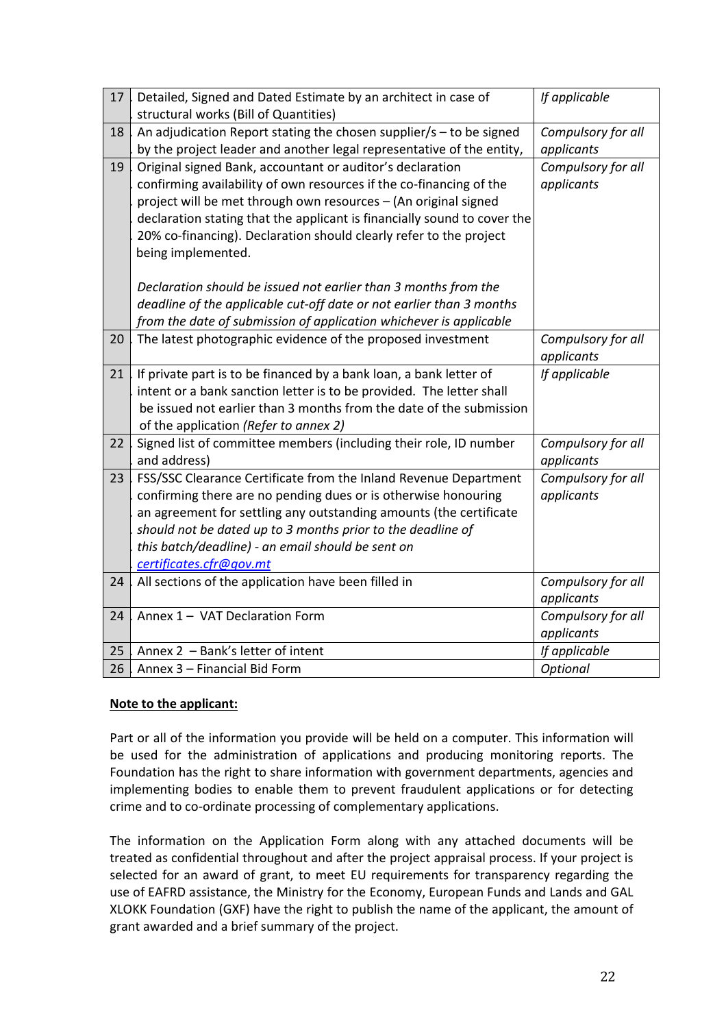| 17 | Detailed, Signed and Dated Estimate by an architect in case of<br>structural works (Bill of Quantities)                                                                                                                                                                                                                                                                     | If applicable                    |
|----|-----------------------------------------------------------------------------------------------------------------------------------------------------------------------------------------------------------------------------------------------------------------------------------------------------------------------------------------------------------------------------|----------------------------------|
| 18 | An adjudication Report stating the chosen supplier/s $-$ to be signed<br>by the project leader and another legal representative of the entity,                                                                                                                                                                                                                              | Compulsory for all<br>applicants |
| 19 | Original signed Bank, accountant or auditor's declaration<br>confirming availability of own resources if the co-financing of the<br>project will be met through own resources - (An original signed<br>declaration stating that the applicant is financially sound to cover the<br>20% co-financing). Declaration should clearly refer to the project<br>being implemented. | Compulsory for all<br>applicants |
|    | Declaration should be issued not earlier than 3 months from the<br>deadline of the applicable cut-off date or not earlier than 3 months<br>from the date of submission of application whichever is applicable                                                                                                                                                               |                                  |
| 20 | The latest photographic evidence of the proposed investment                                                                                                                                                                                                                                                                                                                 | Compulsory for all<br>applicants |
| 21 | If private part is to be financed by a bank loan, a bank letter of<br>intent or a bank sanction letter is to be provided. The letter shall<br>be issued not earlier than 3 months from the date of the submission<br>of the application (Refer to annex 2)                                                                                                                  | If applicable                    |
| 22 | Signed list of committee members (including their role, ID number<br>and address)                                                                                                                                                                                                                                                                                           | Compulsory for all<br>applicants |
| 23 | FSS/SSC Clearance Certificate from the Inland Revenue Department<br>confirming there are no pending dues or is otherwise honouring<br>an agreement for settling any outstanding amounts (the certificate<br>should not be dated up to 3 months prior to the deadline of<br>this batch/deadline) - an email should be sent on<br>certificates.cfr@gov.mt                     | Compulsory for all<br>applicants |
| 24 | All sections of the application have been filled in                                                                                                                                                                                                                                                                                                                         | Compulsory for all<br>applicants |
| 24 | Annex 1 - VAT Declaration Form                                                                                                                                                                                                                                                                                                                                              | Compulsory for all<br>applicants |
| 25 | Annex 2 - Bank's letter of intent                                                                                                                                                                                                                                                                                                                                           | If applicable                    |
| 26 | Annex 3 - Financial Bid Form                                                                                                                                                                                                                                                                                                                                                | Optional                         |

### **Note to the applicant:**

Part or all of the information you provide will be held on a computer. This information will be used for the administration of applications and producing monitoring reports. The Foundation has the right to share information with government departments, agencies and implementing bodies to enable them to prevent fraudulent applications or for detecting crime and to co-ordinate processing of complementary applications.

The information on the Application Form along with any attached documents will be treated as confidential throughout and after the project appraisal process. If your project is selected for an award of grant, to meet EU requirements for transparency regarding the use of EAFRD assistance, the Ministry for the Economy, European Funds and Lands and GAL XLOKK Foundation (GXF) have the right to publish the name of the applicant, the amount of grant awarded and a brief summary of the project.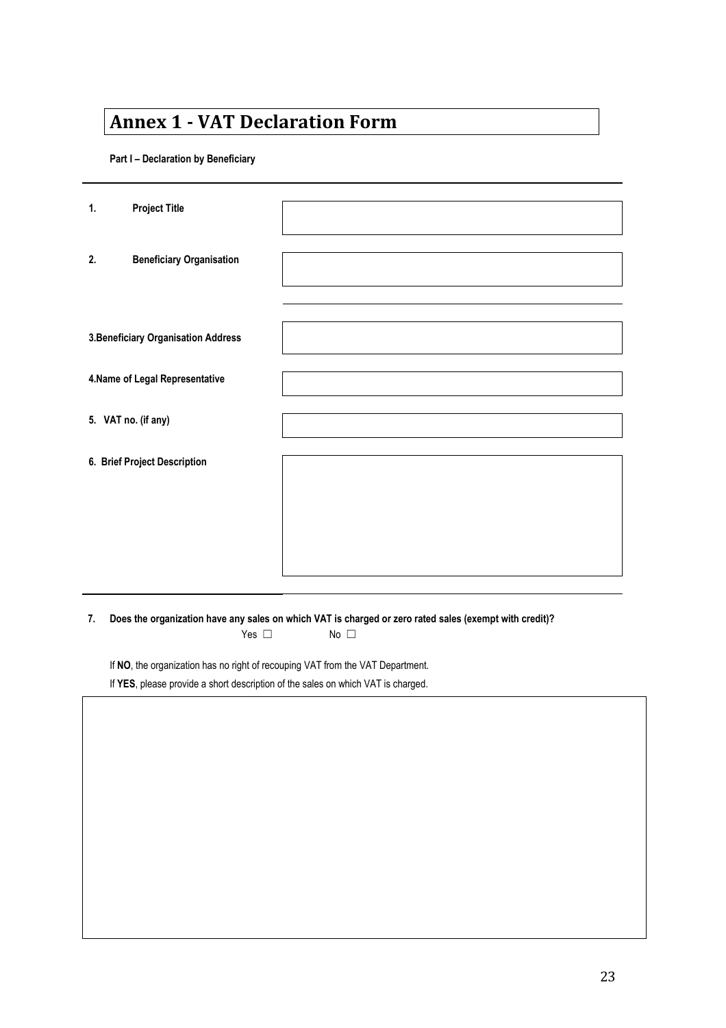# **Annex 1 - VAT Declaration Form**

**Part I – Declaration by Beneficiary**

| 1.                  | <b>Project Title</b>                |  |
|---------------------|-------------------------------------|--|
| 2.                  | <b>Beneficiary Organisation</b>     |  |
|                     |                                     |  |
|                     | 3. Beneficiary Organisation Address |  |
|                     | 4. Name of Legal Representative     |  |
| 5. VAT no. (if any) |                                     |  |
|                     | 6. Brief Project Description        |  |
|                     |                                     |  |
|                     |                                     |  |
|                     |                                     |  |

7. Does the organization have any sales on which VAT is charged or zero rated sales (exempt with credit)?

Yes □ No □

If **NO**, the organization has no right of recouping VAT from the VAT Department.

If **YES**, please provide a short description of the sales on which VAT is charged.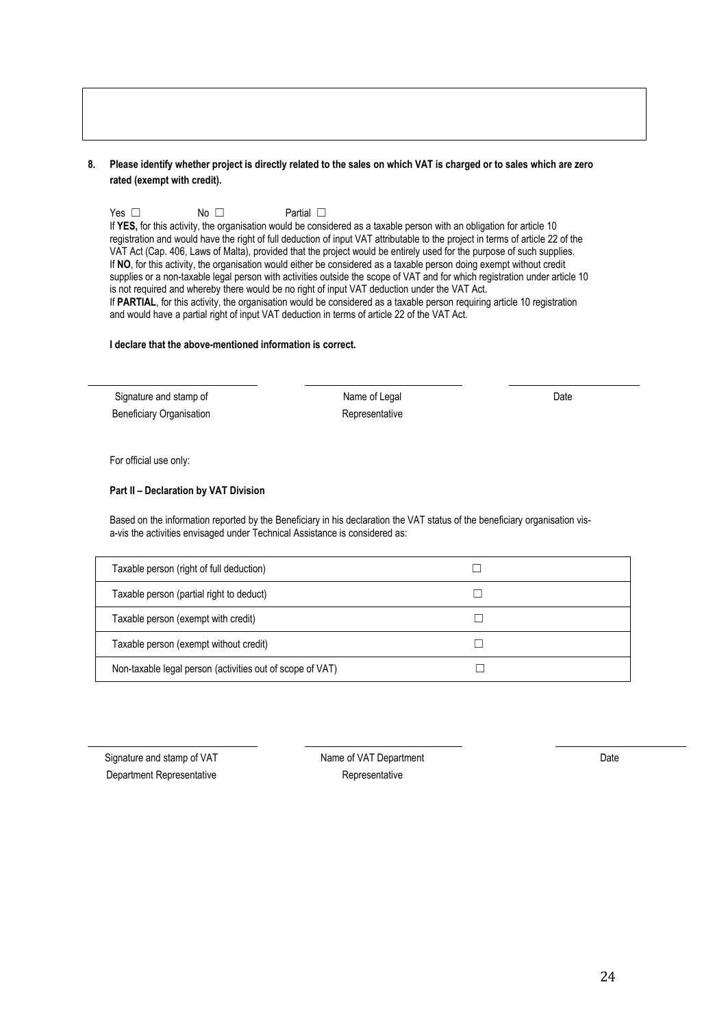#### 8. Please identify whether project is directly related to the sales on which VAT is charged or to sales which are zero **rated (exempt with credit).**

Yes □ No □ Partial □

If **YES,** for this activity, the organisation would be considered as a taxable person with an obligation for article 10 registration and would have the right of full deduction of input VAT attributable to the project in terms of article 22 of the VAT Act (Cap. 406, Laws of Malta), provided that the project would be entirely used for the purpose of such supplies. If **NO**, for this activity, the organisation would either be considered as a taxable person doing exempt without credit supplies or a non-taxable legal person with activities outside the scope of VAT and for which registration under article 10 is not required and whereby there would be no right of input VAT deduction under the VAT Act. If **PARTIAL**, for this activity, the organisation would be considered as a taxable person requiring article 10 registration and would have a partial right of input VAT deduction in terms of article 22 of the VAT Act.

#### **I declare that the above-mentioned information is correct.**

Signature and stamp of Name of Legal Name of Legal Date Beneficiary Organisation **Representative** Representative

For official use only:

#### **Part II – Declaration by VAT Division**

Based on the information reported by the Beneficiary in his declaration the VAT status of the beneficiary organisation vis a-vis the activities envisaged under Technical Assistance is considered as:

| Taxable person (right of full deduction)                  |  |
|-----------------------------------------------------------|--|
| Taxable person (partial right to deduct)                  |  |
| Taxable person (exempt with credit)                       |  |
| Taxable person (exempt without credit)                    |  |
| Non-taxable legal person (activities out of scope of VAT) |  |

Signature and stamp of VAT Name of VAT Department Date is a state of VAT Department Department Representative **Representative** Representative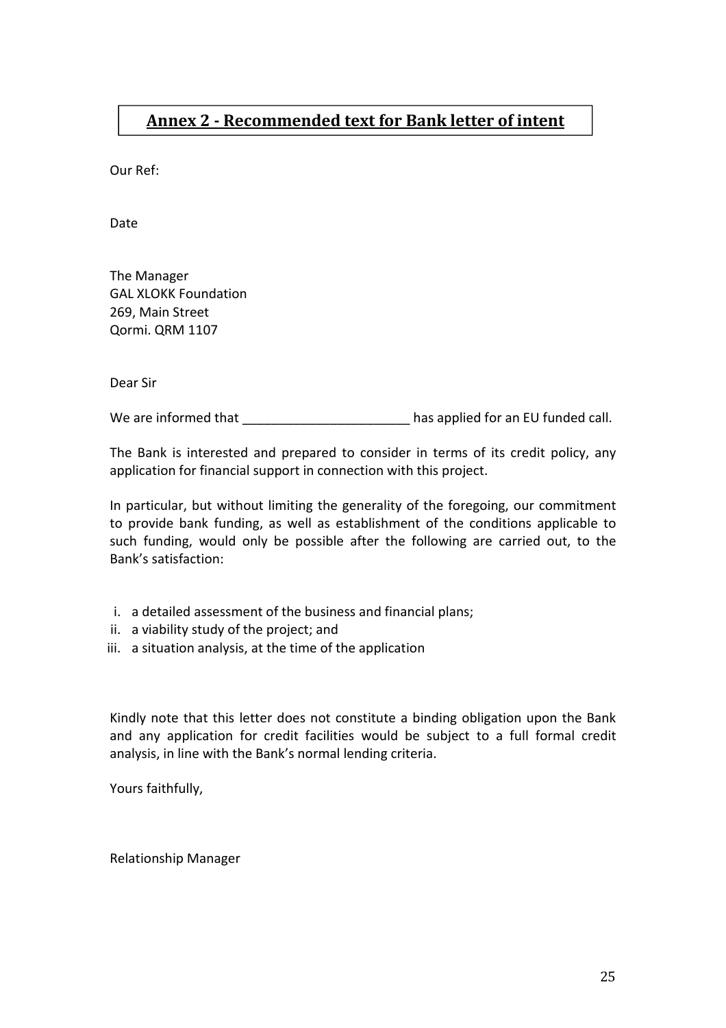## **Annex 2 - Recommended text for Bank letter of intent**

Our Ref:

Date

The Manager GAL XLOKK Foundation 269, Main Street Qormi. QRM 1107

Dear Sir

We are informed that **We are informed that**  $\blacksquare$ 

The Bank is interested and prepared to consider in terms of its credit policy, any application for financial support in connection with this project.

In particular, but without limiting the generality of the foregoing, our commitment to provide bank funding, as well as establishment of the conditions applicable to such funding, would only be possible after the following are carried out, to the Bank's satisfaction:

- i. a detailed assessment of the business and financial plans;
- ii. a viability study of the project; and
- iii. a situation analysis, at the time of the application

Kindly note that this letter does not constitute a binding obligation upon the Bank and any application for credit facilities would be subject to a full formal credit analysis, in line with the Bank's normal lending criteria.

Yours faithfully,

Relationship Manager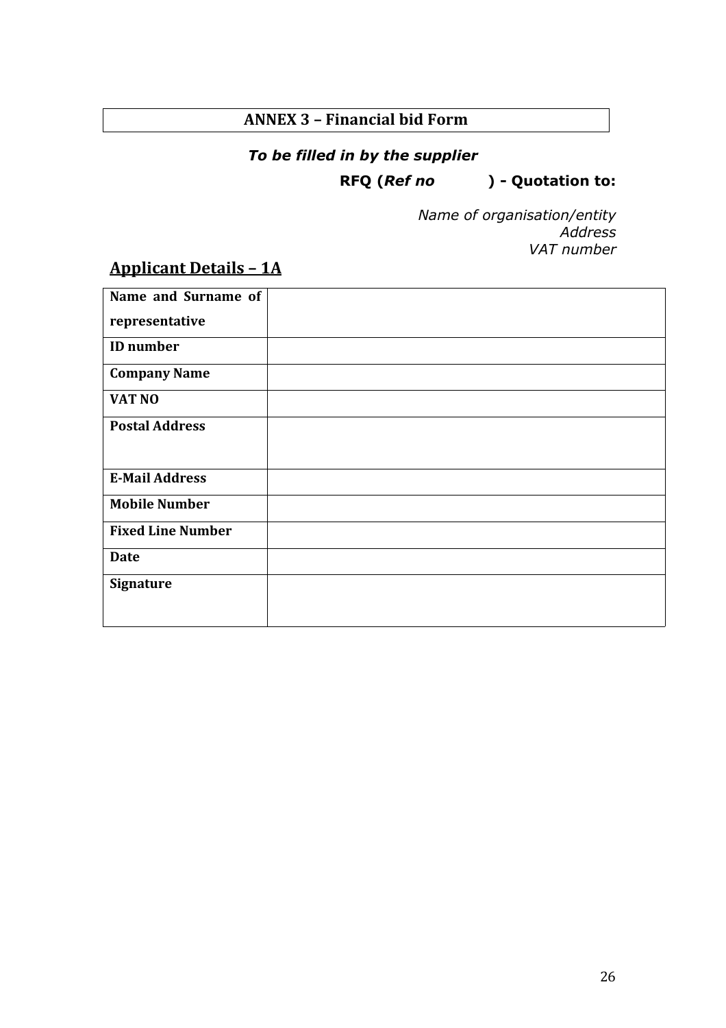## **ANNEX 3 – Financial bid Form**

## *To be filled in by the supplier*

## **RFQ (***Ref no* **) - Quotation to:**

*Name of organisation/entity Address VAT number*

# **Applicant Details – 1A**

| Name and Surname of      |  |
|--------------------------|--|
| representative           |  |
| <b>ID</b> number         |  |
| <b>Company Name</b>      |  |
| VAT NO                   |  |
| <b>Postal Address</b>    |  |
|                          |  |
| <b>E-Mail Address</b>    |  |
| <b>Mobile Number</b>     |  |
| <b>Fixed Line Number</b> |  |
| <b>Date</b>              |  |
| <b>Signature</b>         |  |
|                          |  |